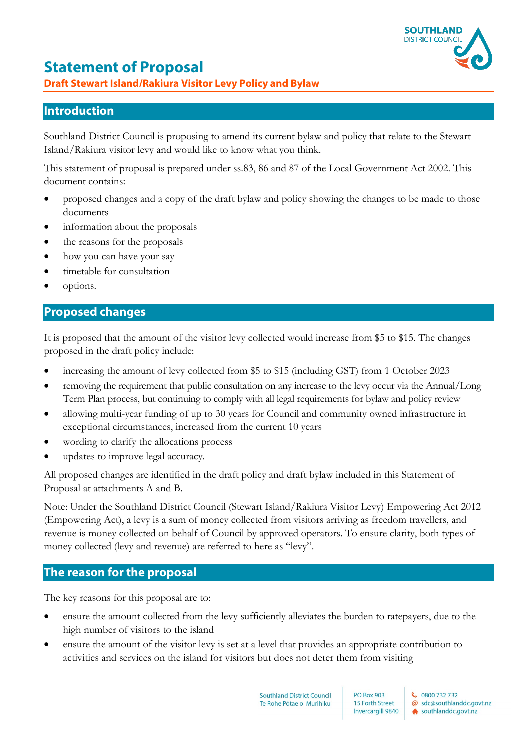

# **Statement of Proposal**

**Draft Stewart Island/Rakiura Visitor Levy Policy and Bylaw**

# **Introduction**

Southland District Council is proposing to amend its current bylaw and policy that relate to the Stewart Island/Rakiura visitor levy and would like to know what you think.

This statement of proposal is prepared under ss.83, 86 and 87 of the Local Government Act 2002. This document contains:

- proposed changes and a copy of the draft bylaw and policy showing the changes to be made to those documents
- information about the proposals
- the reasons for the proposals
- how you can have your say
- timetable for consultation
- options.

# **Proposed changes**

It is proposed that the amount of the visitor levy collected would increase from \$5 to \$15. The changes proposed in the draft policy include:

- increasing the amount of levy collected from \$5 to \$15 (including GST) from 1 October 2023
- removing the requirement that public consultation on any increase to the levy occur via the Annual/Long Term Plan process, but continuing to comply with all legal requirements for bylaw and policy review
- allowing multi-year funding of up to 30 years for Council and community owned infrastructure in exceptional circumstances, increased from the current 10 years
- wording to clarify the allocations process
- updates to improve legal accuracy.

All proposed changes are identified in the draft policy and draft bylaw included in this Statement of Proposal at attachments A and B.

Note: Under the Southland District Council (Stewart Island/Rakiura Visitor Levy) Empowering Act 2012 (Empowering Act), a levy is a sum of money collected from visitors arriving as freedom travellers, and revenue is money collected on behalf of Council by approved operators. To ensure clarity, both types of money collected (levy and revenue) are referred to here as "levy".

# **The reason for the proposal**

The key reasons for this proposal are to:

- ensure the amount collected from the levy sufficiently alleviates the burden to ratepayers, due to the high number of visitors to the island
- ensure the amount of the visitor levy is set at a level that provides an appropriate contribution to activities and services on the island for visitors but does not deter them from visiting

**Southland District Council** Te Rohe Pôtae o Murihiku

**PO Box 903 15 Forth Street** Invercargill 9840 ₹ 0800 732 732 @ sdc@southlanddc.govt.nz southlanddc.govt.nz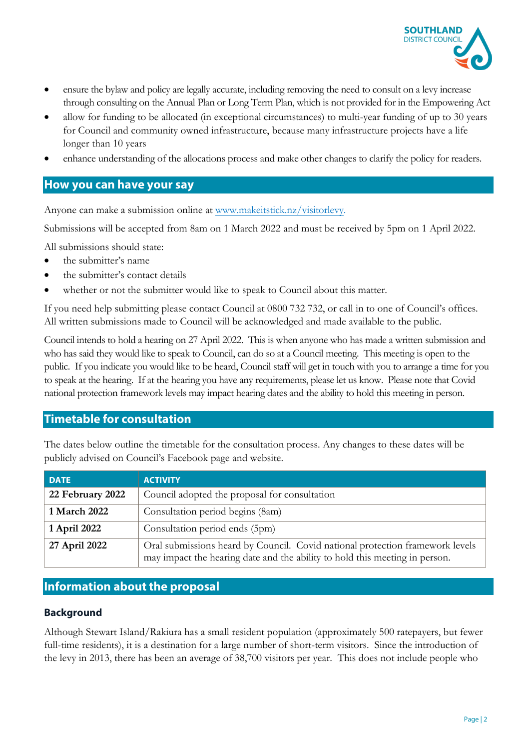

- ensure the bylaw and policy are legally accurate, including removing the need to consult on a levy increase through consulting on the Annual Plan or Long Term Plan, which is not provided for in the Empowering Act
- allow for funding to be allocated (in exceptional circumstances) to multi-year funding of up to 30 years for Council and community owned infrastructure, because many infrastructure projects have a life longer than 10 years
- enhance understanding of the allocations process and make other changes to clarify the policy for readers.

# **How you can have your say**

Anyone can make a submission online at www.makeitstick.nz/visitorlevy.

Submissions will be accepted from 8am on 1 March 2022 and must be received by 5pm on 1 April 2022.

All submissions should state:

- the submitter's name
- the submitter's contact details
- whether or not the submitter would like to speak to Council about this matter.

If you need help submitting please contact Council at 0800 732 732, or call in to one of Council's offices. All written submissions made to Council will be acknowledged and made available to the public.

Council intends to hold a hearing on 27 April 2022. This is when anyone who has made a written submission and who has said they would like to speak to Council, can do so at a Council meeting. This meeting is open to the public. If you indicate you would like to be heard, Council staff will get in touch with you to arrange a time for you to speak at the hearing. If at the hearing you have any requirements, please let us know. Please note that Covid national protection framework levels may impact hearing dates and the ability to hold this meeting in person.

# **Timetable for consultation**

The dates below outline the timetable for the consultation process. Any changes to these dates will be publicly advised on Council's Facebook page and website.

| <b>DATE</b>      | <b>ACTIVITY</b>                                                                                                                                              |
|------------------|--------------------------------------------------------------------------------------------------------------------------------------------------------------|
| 22 February 2022 | Council adopted the proposal for consultation                                                                                                                |
| 1 March 2022     | Consultation period begins (8am)                                                                                                                             |
| 1 April 2022     | Consultation period ends (5pm)                                                                                                                               |
| 27 April 2022    | Oral submissions heard by Council. Covid national protection framework levels<br>may impact the hearing date and the ability to hold this meeting in person. |

# **Information about the proposal**

#### **Background**

Although Stewart Island/Rakiura has a small resident population (approximately 500 ratepayers, but fewer full-time residents), it is a destination for a large number of short-term visitors. Since the introduction of the levy in 2013, there has been an average of 38,700 visitors per year. This does not include people who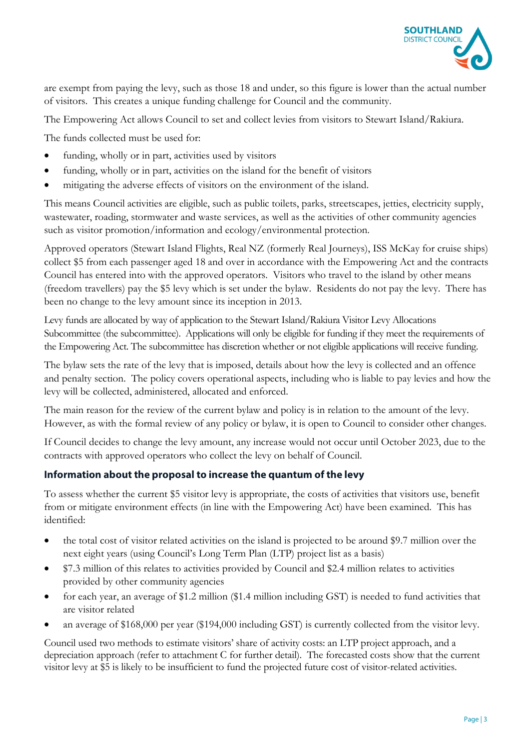

are exempt from paying the levy, such as those 18 and under, so this figure is lower than the actual number of visitors. This creates a unique funding challenge for Council and the community.

The Empowering Act allows Council to set and collect levies from visitors to Stewart Island/Rakiura.

The funds collected must be used for:

- funding, wholly or in part, activities used by visitors
- funding, wholly or in part, activities on the island for the benefit of visitors
- mitigating the adverse effects of visitors on the environment of the island.

This means Council activities are eligible, such as public toilets, parks, streetscapes, jetties, electricity supply, wastewater, roading, stormwater and waste services, as well as the activities of other community agencies such as visitor promotion/information and ecology/environmental protection.

Approved operators (Stewart Island Flights, Real NZ (formerly Real Journeys), ISS McKay for cruise ships) collect \$5 from each passenger aged 18 and over in accordance with the Empowering Act and the contracts Council has entered into with the approved operators. Visitors who travel to the island by other means (freedom travellers) pay the \$5 levy which is set under the bylaw. Residents do not pay the levy. There has been no change to the levy amount since its inception in 2013.

Levy funds are allocated by way of application to the Stewart Island/Rakiura Visitor Levy Allocations Subcommittee (the subcommittee). Applications will only be eligible for funding if they meet the requirements of the Empowering Act. The subcommittee has discretion whether or not eligible applications will receive funding.

The bylaw sets the rate of the levy that is imposed, details about how the levy is collected and an offence and penalty section. The policy covers operational aspects, including who is liable to pay levies and how the levy will be collected, administered, allocated and enforced.

The main reason for the review of the current bylaw and policy is in relation to the amount of the levy. However, as with the formal review of any policy or bylaw, it is open to Council to consider other changes.

If Council decides to change the levy amount, any increase would not occur until October 2023, due to the contracts with approved operators who collect the levy on behalf of Council.

#### **Information about the proposal to increase the quantum of the levy**

To assess whether the current \$5 visitor levy is appropriate, the costs of activities that visitors use, benefit from or mitigate environment effects (in line with the Empowering Act) have been examined. This has identified:

- the total cost of visitor related activities on the island is projected to be around \$9.7 million over the next eight years (using Council's Long Term Plan (LTP) project list as a basis)
- \$7.3 million of this relates to activities provided by Council and \$2.4 million relates to activities provided by other community agencies
- for each year, an average of \$1.2 million (\$1.4 million including GST) is needed to fund activities that are visitor related
- an average of \$168,000 per year (\$194,000 including GST) is currently collected from the visitor levy.

Council used two methods to estimate visitors' share of activity costs: an LTP project approach, and a depreciation approach (refer to attachment C for further detail). The forecasted costs show that the current visitor levy at \$5 is likely to be insufficient to fund the projected future cost of visitor-related activities.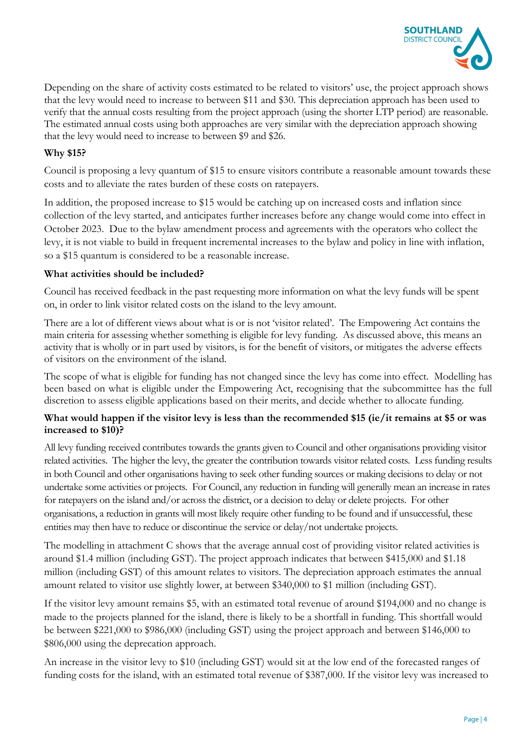

Depending on the share of activity costs estimated to be related to visitors' use, the project approach shows that the levy would need to increase to between \$11 and \$30. This depreciation approach has been used to verify that the annual costs resulting from the project approach (using the shorter LTP period) are reasonable. The estimated annual costs using both approaches are very similar with the depreciation approach showing that the levy would need to increase to between \$9 and \$26.

#### **Why \$15?**

Council is proposing a levy quantum of \$15 to ensure visitors contribute a reasonable amount towards these costs and to alleviate the rates burden of these costs on ratepayers.

In addition, the proposed increase to \$15 would be catching up on increased costs and inflation since collection of the levy started, and anticipates further increases before any change would come into effect in October 2023. Due to the bylaw amendment process and agreements with the operators who collect the levy, it is not viable to build in frequent incremental increases to the bylaw and policy in line with inflation, so a \$15 quantum is considered to be a reasonable increase.

#### **What activities should be included?**

Council has received feedback in the past requesting more information on what the levy funds will be spent on, in order to link visitor related costs on the island to the levy amount.

There are a lot of different views about what is or is not 'visitor related'. The Empowering Act contains the main criteria for assessing whether something is eligible for levy funding. As discussed above, this means an activity that is wholly or in part used by visitors, is for the benefit of visitors, or mitigates the adverse effects of visitors on the environment of the island.

The scope of what is eligible for funding has not changed since the levy has come into effect. Modelling has been based on what is eligible under the Empowering Act, recognising that the subcommittee has the full discretion to assess eligible applications based on their merits, and decide whether to allocate funding.

#### **What would happen if the visitor levy is less than the recommended \$15 (ie/it remains at \$5 or was increased to \$10)?**

All levy funding received contributes towards the grants given to Council and other organisations providing visitor related activities. The higher the levy, the greater the contribution towards visitor related costs. Less funding results in both Council and other organisations having to seek other funding sources or making decisions to delay or not undertake some activities or projects. For Council, any reduction in funding will generally mean an increase in rates for ratepayers on the island and/or across the district, or a decision to delay or delete projects. For other organisations, a reduction in grants will most likely require other funding to be found and if unsuccessful, these entities may then have to reduce or discontinue the service or delay/not undertake projects.

The modelling in attachment C shows that the average annual cost of providing visitor related activities is around \$1.4 million (including GST). The project approach indicates that between \$415,000 and \$1.18 million (including GST) of this amount relates to visitors. The depreciation approach estimates the annual amount related to visitor use slightly lower, at between \$340,000 to \$1 million (including GST).

If the visitor levy amount remains \$5, with an estimated total revenue of around \$194,000 and no change is made to the projects planned for the island, there is likely to be a shortfall in funding. This shortfall would be between \$221,000 to \$986,000 (including GST) using the project approach and between \$146,000 to \$806,000 using the deprecation approach.

An increase in the visitor levy to \$10 (including GST) would sit at the low end of the forecasted ranges of funding costs for the island, with an estimated total revenue of \$387,000. If the visitor levy was increased to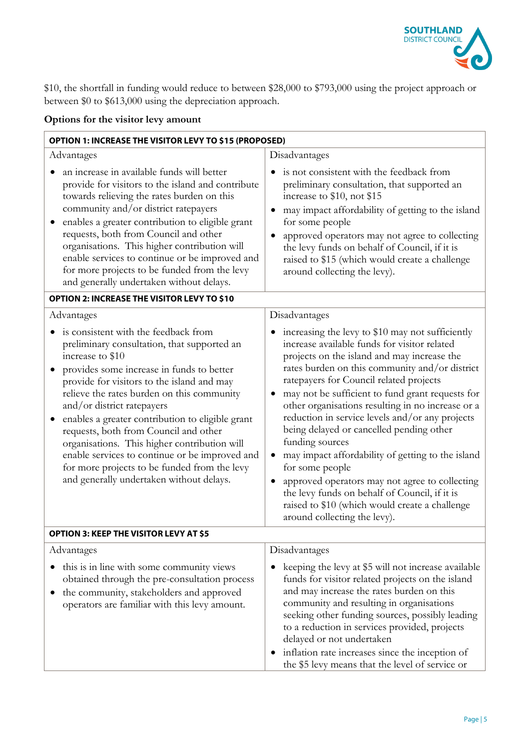

\$10, the shortfall in funding would reduce to between \$28,000 to \$793,000 using the project approach or between \$0 to \$613,000 using the depreciation approach.

# **Options for the visitor levy amount**

| OPTION 1: INCREASE THE VISITOR LEVY TO \$15 (PROPOSED)                                                                                                                                                                                                                                                                                                                                                                                                                                                                                                                    |                                                                                                                                                                                                                                                                                                                                                                                                                                                                                                                                                                                                                                                                                                                                                                             |  |
|---------------------------------------------------------------------------------------------------------------------------------------------------------------------------------------------------------------------------------------------------------------------------------------------------------------------------------------------------------------------------------------------------------------------------------------------------------------------------------------------------------------------------------------------------------------------------|-----------------------------------------------------------------------------------------------------------------------------------------------------------------------------------------------------------------------------------------------------------------------------------------------------------------------------------------------------------------------------------------------------------------------------------------------------------------------------------------------------------------------------------------------------------------------------------------------------------------------------------------------------------------------------------------------------------------------------------------------------------------------------|--|
| Advantages                                                                                                                                                                                                                                                                                                                                                                                                                                                                                                                                                                | Disadvantages                                                                                                                                                                                                                                                                                                                                                                                                                                                                                                                                                                                                                                                                                                                                                               |  |
| an increase in available funds will better<br>provide for visitors to the island and contribute<br>towards relieving the rates burden on this<br>community and/or district ratepayers<br>enables a greater contribution to eligible grant<br>requests, both from Council and other<br>organisations. This higher contribution will<br>enable services to continue or be improved and<br>for more projects to be funded from the levy<br>and generally undertaken without delays.                                                                                          | is not consistent with the feedback from<br>preliminary consultation, that supported an<br>increase to \$10, not \$15<br>may impact affordability of getting to the island<br>$\bullet$<br>for some people<br>approved operators may not agree to collecting<br>$\bullet$<br>the levy funds on behalf of Council, if it is<br>raised to \$15 (which would create a challenge<br>around collecting the levy).                                                                                                                                                                                                                                                                                                                                                                |  |
| <b>OPTION 2: INCREASE THE VISITOR LEVY TO \$10</b>                                                                                                                                                                                                                                                                                                                                                                                                                                                                                                                        |                                                                                                                                                                                                                                                                                                                                                                                                                                                                                                                                                                                                                                                                                                                                                                             |  |
| Advantages                                                                                                                                                                                                                                                                                                                                                                                                                                                                                                                                                                | Disadvantages                                                                                                                                                                                                                                                                                                                                                                                                                                                                                                                                                                                                                                                                                                                                                               |  |
| is consistent with the feedback from<br>preliminary consultation, that supported an<br>increase to \$10<br>provides some increase in funds to better<br>provide for visitors to the island and may<br>relieve the rates burden on this community<br>and/or district ratepayers<br>enables a greater contribution to eligible grant<br>requests, both from Council and other<br>organisations. This higher contribution will<br>enable services to continue or be improved and<br>for more projects to be funded from the levy<br>and generally undertaken without delays. | increasing the levy to \$10 may not sufficiently<br>increase available funds for visitor related<br>projects on the island and may increase the<br>rates burden on this community and/or district<br>ratepayers for Council related projects<br>may not be sufficient to fund grant requests for<br>$\bullet$<br>other organisations resulting in no increase or a<br>reduction in service levels and/or any projects<br>being delayed or cancelled pending other<br>funding sources<br>may impact affordability of getting to the island<br>$\bullet$<br>for some people<br>approved operators may not agree to collecting<br>$\bullet$<br>the levy funds on behalf of Council, if it is<br>raised to \$10 (which would create a challenge<br>around collecting the levy). |  |
| <b>OPTION 3: KEEP THE VISITOR LEVY AT \$5</b>                                                                                                                                                                                                                                                                                                                                                                                                                                                                                                                             |                                                                                                                                                                                                                                                                                                                                                                                                                                                                                                                                                                                                                                                                                                                                                                             |  |
| Advantages                                                                                                                                                                                                                                                                                                                                                                                                                                                                                                                                                                | Disadvantages                                                                                                                                                                                                                                                                                                                                                                                                                                                                                                                                                                                                                                                                                                                                                               |  |
| this is in line with some community views<br>obtained through the pre-consultation process<br>the community, stakeholders and approved<br>operators are familiar with this levy amount.                                                                                                                                                                                                                                                                                                                                                                                   | keeping the levy at \$5 will not increase available<br>funds for visitor related projects on the island<br>and may increase the rates burden on this<br>community and resulting in organisations<br>seeking other funding sources, possibly leading<br>to a reduction in services provided, projects<br>delayed or not undertaken<br>inflation rate increases since the inception of<br>$\bullet$<br>the \$5 levy means that the level of service or                                                                                                                                                                                                                                                                                                                        |  |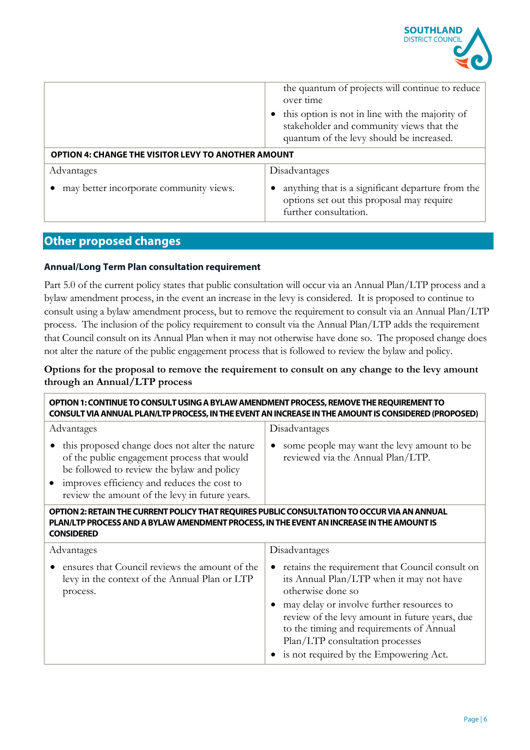

|                                                            | the quantum of projects will continue to reduce<br>over time<br>this option is not in line with the majority of<br>stakeholder and community views that the<br>quantum of the levy should be increased. |  |
|------------------------------------------------------------|---------------------------------------------------------------------------------------------------------------------------------------------------------------------------------------------------------|--|
| <b>OPTION 4: CHANGE THE VISITOR LEVY TO ANOTHER AMOUNT</b> |                                                                                                                                                                                                         |  |
| Advantages                                                 | Disadvantages                                                                                                                                                                                           |  |
| may better incorporate community views.                    | anything that is a significant departure from the<br>options set out this proposal may require<br>further consultation.                                                                                 |  |

## **Other proposed changes**

#### **Annual/Long Term Plan consultation requirement**

Part 5.0 of the current policy states that public consultation will occur via an Annual Plan/LTP process and a bylaw amendment process, in the event an increase in the levy is considered. It is proposed to continue to consult using a bylaw amendment process, but to remove the requirement to consult via an Annual Plan/LTP process. The inclusion of the policy requirement to consult via the Annual Plan/LTP adds the requirement that Council consult on its Annual Plan when it may not otherwise have done so. The proposed change does not alter the nature of the public engagement process that is followed to review the bylaw and policy.

#### **Options for the proposal to remove the requirement to consult on any change to the levy amount through an Annual/LTP process**

| OPTION 1: CONTINUE TO CONSULT USING A BYLAW AMENDMENT PROCESS, REMOVE THE REQUIREMENT TO<br>CONSULT VIA ANNUAL PLAN/LTP PROCESS, IN THE EVENT AN INCREASE IN THE AMOUNT IS CONSIDERED (PROPOSED)               |                                                                                                                                                                            |  |
|----------------------------------------------------------------------------------------------------------------------------------------------------------------------------------------------------------------|----------------------------------------------------------------------------------------------------------------------------------------------------------------------------|--|
| Advantages<br>this proposed change does not alter the nature                                                                                                                                                   | Disadvantages<br>some people may want the levy amount to be                                                                                                                |  |
| of the public engagement process that would<br>be followed to review the bylaw and policy                                                                                                                      | reviewed via the Annual Plan/LTP.                                                                                                                                          |  |
| improves efficiency and reduces the cost to<br>review the amount of the levy in future years.                                                                                                                  |                                                                                                                                                                            |  |
| OPTION 2: RETAIN THE CURRENT POLICY THAT REQUIRES PUBLIC CONSULTATION TO OCCUR VIA AN ANNUAL<br>PLAN/LTP PROCESS AND A BYLAW AMENDMENT PROCESS, IN THE EVENT AN INCREASE IN THE AMOUNT IS<br><b>CONSIDERED</b> |                                                                                                                                                                            |  |
| Advantages                                                                                                                                                                                                     | Disadvantages                                                                                                                                                              |  |
| ensures that Council reviews the amount of the<br>levy in the context of the Annual Plan or LTP<br>process.                                                                                                    | retains the requirement that Council consult on<br>its Annual Plan/LTP when it may not have<br>otherwise done so                                                           |  |
|                                                                                                                                                                                                                | may delay or involve further resources to<br>review of the levy amount in future years, due<br>to the timing and requirements of Annual<br>Plan/LTP consultation processes |  |
|                                                                                                                                                                                                                | is not required by the Empowering Act.                                                                                                                                     |  |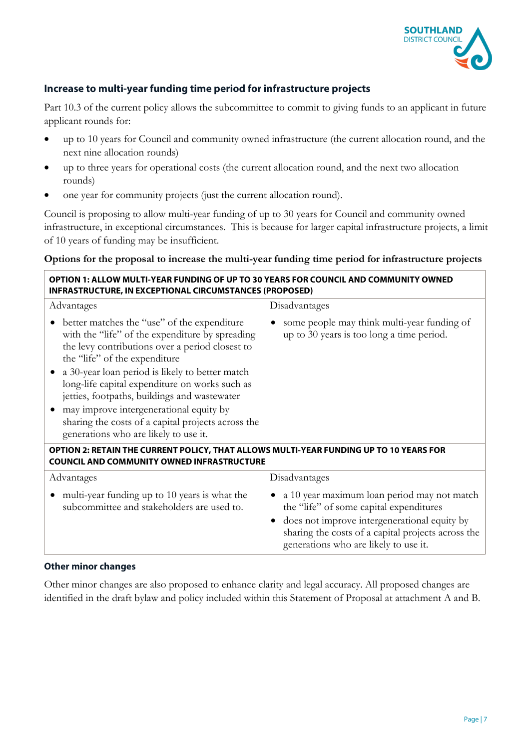

#### **Increase to multi-year funding time period for infrastructure projects**

Part 10.3 of the current policy allows the subcommittee to commit to giving funds to an applicant in future applicant rounds for:

- up to 10 years for Council and community owned infrastructure (the current allocation round, and the next nine allocation rounds)
- up to three years for operational costs (the current allocation round, and the next two allocation rounds)
- one year for community projects (just the current allocation round).

Council is proposing to allow multi-year funding of up to 30 years for Council and community owned infrastructure, in exceptional circumstances. This is because for larger capital infrastructure projects, a limit of 10 years of funding may be insufficient.

#### **Options for the proposal to increase the multi-year funding time period for infrastructure projects**

| OPTION 1: ALLOW MULTI-YEAR FUNDING OF UP TO 30 YEARS FOR COUNCIL AND COMMUNITY OWNED<br><b>INFRASTRUCTURE, IN EXCEPTIONAL CIRCUMSTANCES (PROPOSED)</b>                                                                                                                                                                                                                                                                                                                            |                                                                                                                                                                                                                                       |  |
|-----------------------------------------------------------------------------------------------------------------------------------------------------------------------------------------------------------------------------------------------------------------------------------------------------------------------------------------------------------------------------------------------------------------------------------------------------------------------------------|---------------------------------------------------------------------------------------------------------------------------------------------------------------------------------------------------------------------------------------|--|
| Advantages                                                                                                                                                                                                                                                                                                                                                                                                                                                                        | Disadvantages                                                                                                                                                                                                                         |  |
| better matches the "use" of the expenditure<br>with the "life" of the expenditure by spreading<br>the levy contributions over a period closest to<br>the "life" of the expenditure<br>a 30-year loan period is likely to better match<br>long-life capital expenditure on works such as<br>jetties, footpaths, buildings and wastewater<br>may improve intergenerational equity by<br>sharing the costs of a capital projects across the<br>generations who are likely to use it. | some people may think multi-year funding of<br>up to 30 years is too long a time period.                                                                                                                                              |  |
| OPTION 2: RETAIN THE CURRENT POLICY, THAT ALLOWS MULTI-YEAR FUNDING UP TO 10 YEARS FOR<br><b>COUNCIL AND COMMUNITY OWNED INFRASTRUCTURE</b>                                                                                                                                                                                                                                                                                                                                       |                                                                                                                                                                                                                                       |  |
| Advantages                                                                                                                                                                                                                                                                                                                                                                                                                                                                        | Disadvantages                                                                                                                                                                                                                         |  |
| multi-year funding up to 10 years is what the<br>$\bullet$<br>subcommittee and stakeholders are used to.                                                                                                                                                                                                                                                                                                                                                                          | a 10 year maximum loan period may not match<br>the "life" of some capital expenditures<br>does not improve intergenerational equity by<br>sharing the costs of a capital projects across the<br>generations who are likely to use it. |  |

#### **Other minor changes**

Other minor changes are also proposed to enhance clarity and legal accuracy. All proposed changes are identified in the draft bylaw and policy included within this Statement of Proposal at attachment A and B.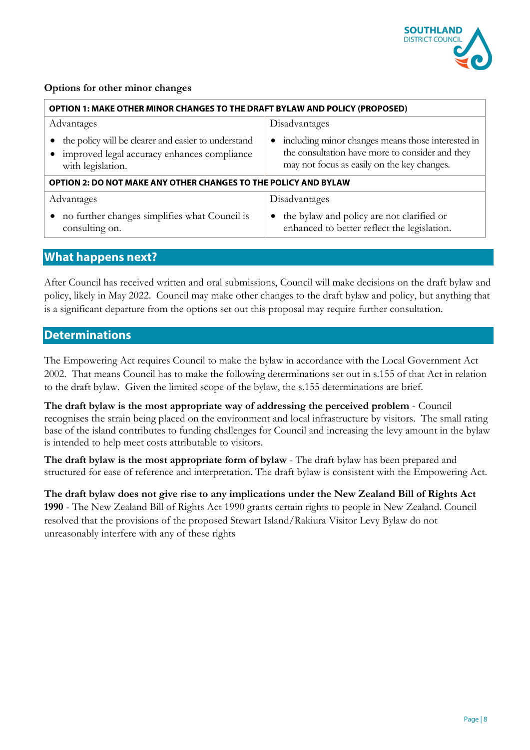

#### **Options for other minor changes**

| <b>OPTION 1: MAKE OTHER MINOR CHANGES TO THE DRAFT BYLAW AND POLICY (PROPOSED)</b>                                        |                                                                                                                                                                  |  |
|---------------------------------------------------------------------------------------------------------------------------|------------------------------------------------------------------------------------------------------------------------------------------------------------------|--|
| Advantages                                                                                                                | Disadvantages                                                                                                                                                    |  |
| the policy will be clearer and easier to understand<br>• improved legal accuracy enhances compliance<br>with legislation. | including minor changes means those interested in<br>$\bullet$<br>the consultation have more to consider and they<br>may not focus as easily on the key changes. |  |
| OPTION 2: DO NOT MAKE ANY OTHER CHANGES TO THE POLICY AND BYLAW                                                           |                                                                                                                                                                  |  |
| Advantages                                                                                                                | Disadvantages                                                                                                                                                    |  |
| • no further changes simplifies what Council is<br>consulting on.                                                         | the bylaw and policy are not clarified or<br>enhanced to better reflect the legislation.                                                                         |  |

#### **What happens next?**

After Council has received written and oral submissions, Council will make decisions on the draft bylaw and policy, likely in May 2022. Council may make other changes to the draft bylaw and policy, but anything that is a significant departure from the options set out this proposal may require further consultation.

## **Determinations**

The Empowering Act requires Council to make the bylaw in accordance with the Local Government Act 2002. That means Council has to make the following determinations set out in s.155 of that Act in relation to the draft bylaw. Given the limited scope of the bylaw, the s.155 determinations are brief.

**The draft bylaw is the most appropriate way of addressing the perceived problem** - Council recognises the strain being placed on the environment and local infrastructure by visitors. The small rating base of the island contributes to funding challenges for Council and increasing the levy amount in the bylaw is intended to help meet costs attributable to visitors.

**The draft bylaw is the most appropriate form of bylaw** - The draft bylaw has been prepared and structured for ease of reference and interpretation. The draft bylaw is consistent with the Empowering Act.

**The draft bylaw does not give rise to any implications under the New Zealand Bill of Rights Act 1990** - The New Zealand Bill of Rights Act 1990 grants certain rights to people in New Zealand. Council resolved that the provisions of the proposed Stewart Island/Rakiura Visitor Levy Bylaw do not unreasonably interfere with any of these rights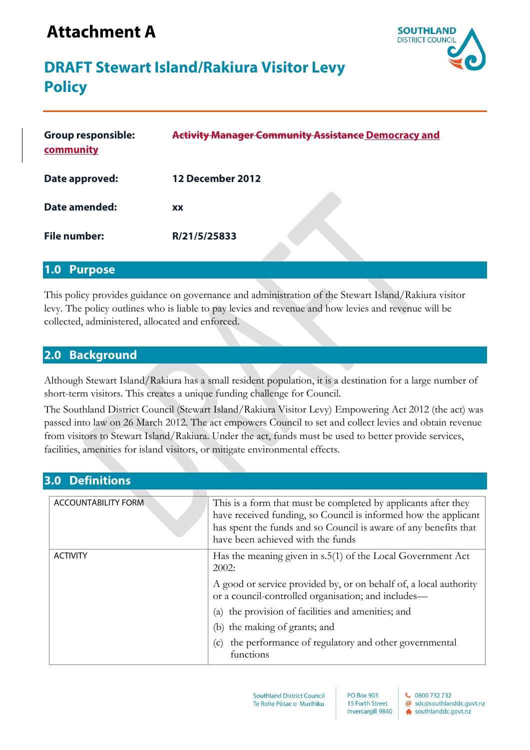# **Attachment A**



# **DRAFT Stewart Island/Rakiura Visitor Levy Policy**

| <b>Group responsible:</b><br>community | <b>Activity Manager Community Assistance Democracy and</b> |
|----------------------------------------|------------------------------------------------------------|
| Date approved:                         | 12 December 2012                                           |
| Date amended:                          | <b>XX</b>                                                  |
| <b>File number:</b>                    | R/21/5/25833                                               |

## **1.0 Purpose**

This policy provides guidance on governance and administration of the Stewart Island/Rakiura visitor levy. The policy outlines who is liable to pay levies and revenue and how levies and revenue will be collected, administered, allocated and enforced.

# **2.0 Background**

Although Stewart Island/Rakiura has a small resident population, it is a destination for a large number of short-term visitors. This creates a unique funding challenge for Council.

The Southland District Council (Stewart Island/Rakiura Visitor Levy) Empowering Act 2012 (the act) was passed into law on 26 March 2012. The act empowers Council to set and collect levies and obtain revenue from visitors to Stewart Island/Rakiura. Under the act, funds must be used to better provide services, facilities, amenities for island visitors, or mitigate environmental effects.

| <b>3.0 Definitions</b>     |                                                                                                                                                                                                                                            |
|----------------------------|--------------------------------------------------------------------------------------------------------------------------------------------------------------------------------------------------------------------------------------------|
| <b>ACCOUNTABILITY FORM</b> | This is a form that must be completed by applicants after they<br>have received funding, so Council is informed how the applicant<br>has spent the funds and so Council is aware of any benefits that<br>have been achieved with the funds |
| <b>ACTIVITY</b>            | Has the meaning given in s.5(1) of the Local Government Act<br>2002:                                                                                                                                                                       |
|                            | A good or service provided by, or on behalf of, a local authority<br>or a council-controlled organisation; and includes-                                                                                                                   |
|                            | (a) the provision of facilities and amenities; and                                                                                                                                                                                         |
|                            | (b) the making of grants; and                                                                                                                                                                                                              |
|                            | the performance of regulatory and other governmental<br>(c)<br>functions                                                                                                                                                                   |

₹ 0800 732 732

@ sdc@southlanddc.govt.nz

southlanddc.govt.nz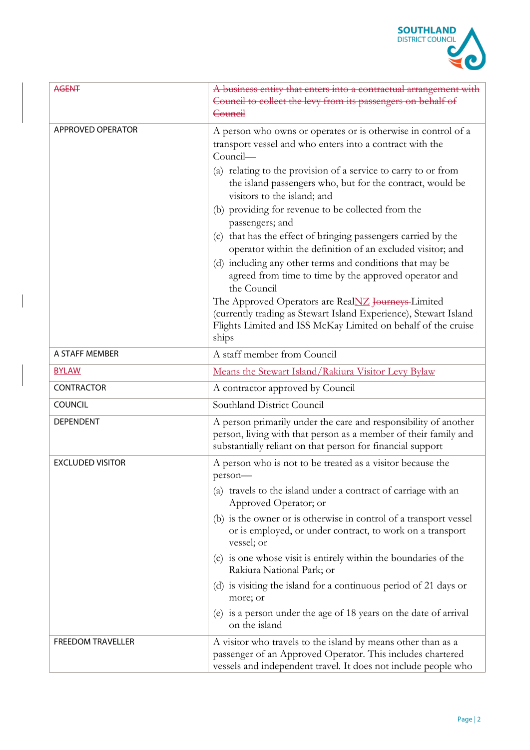

| <b>AGENT</b>             | A business entity that enters into a contractual arrangement with<br>Council to collect the levy from its passengers on behalf of<br>Council                                                                                                                                                                                                                                                                                                                                                                                                                                                                                                                                                                                                                                                                                                           |
|--------------------------|--------------------------------------------------------------------------------------------------------------------------------------------------------------------------------------------------------------------------------------------------------------------------------------------------------------------------------------------------------------------------------------------------------------------------------------------------------------------------------------------------------------------------------------------------------------------------------------------------------------------------------------------------------------------------------------------------------------------------------------------------------------------------------------------------------------------------------------------------------|
| APPROVED OPERATOR        | A person who owns or operates or is otherwise in control of a<br>transport vessel and who enters into a contract with the<br>Council-<br>(a) relating to the provision of a service to carry to or from<br>the island passengers who, but for the contract, would be<br>visitors to the island; and<br>(b) providing for revenue to be collected from the<br>passengers; and<br>that has the effect of bringing passengers carried by the<br>(c)<br>operator within the definition of an excluded visitor; and<br>(d) including any other terms and conditions that may be<br>agreed from time to time by the approved operator and<br>the Council<br>The Approved Operators are RealNZ Journeys-Limited<br>(currently trading as Stewart Island Experience), Stewart Island<br>Flights Limited and ISS McKay Limited on behalf of the cruise<br>ships |
| A STAFF MEMBER           | A staff member from Council                                                                                                                                                                                                                                                                                                                                                                                                                                                                                                                                                                                                                                                                                                                                                                                                                            |
| <b>BYLAW</b>             | Means the Stewart Island/Rakiura Visitor Levy Bylaw                                                                                                                                                                                                                                                                                                                                                                                                                                                                                                                                                                                                                                                                                                                                                                                                    |
| <b>CONTRACTOR</b>        | A contractor approved by Council                                                                                                                                                                                                                                                                                                                                                                                                                                                                                                                                                                                                                                                                                                                                                                                                                       |
| COUNCIL                  | Southland District Council                                                                                                                                                                                                                                                                                                                                                                                                                                                                                                                                                                                                                                                                                                                                                                                                                             |
| <b>DEPENDENT</b>         | A person primarily under the care and responsibility of another<br>person, living with that person as a member of their family and<br>substantially reliant on that person for financial support                                                                                                                                                                                                                                                                                                                                                                                                                                                                                                                                                                                                                                                       |
| <b>EXCLUDED VISITOR</b>  | A person who is not to be treated as a visitor because the<br>person-<br>(a) travels to the island under a contract of carriage with an<br>Approved Operator; or<br>(b) is the owner or is otherwise in control of a transport vessel<br>or is employed, or under contract, to work on a transport<br>vessel; or<br>(c) is one whose visit is entirely within the boundaries of the<br>Rakiura National Park; or<br>(d) is visiting the island for a continuous period of 21 days or<br>more; or<br>(e) is a person under the age of 18 years on the date of arrival<br>on the island                                                                                                                                                                                                                                                                  |
| <b>FREEDOM TRAVELLER</b> | A visitor who travels to the island by means other than as a<br>passenger of an Approved Operator. This includes chartered<br>vessels and independent travel. It does not include people who                                                                                                                                                                                                                                                                                                                                                                                                                                                                                                                                                                                                                                                           |

 $\begin{array}{c} \hline \end{array}$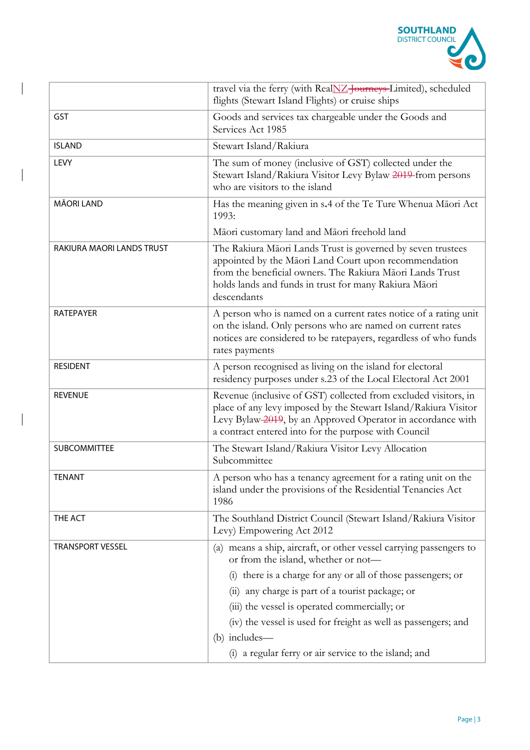

|                           | travel via the ferry (with RealNZ-Journeys-Limited), scheduled<br>flights (Stewart Island Flights) or cruise ships                                                                                                                                        |
|---------------------------|-----------------------------------------------------------------------------------------------------------------------------------------------------------------------------------------------------------------------------------------------------------|
| GST                       | Goods and services tax chargeable under the Goods and<br>Services Act 1985                                                                                                                                                                                |
| <b>ISLAND</b>             | Stewart Island/Rakiura                                                                                                                                                                                                                                    |
| <b>LEVY</b>               | The sum of money (inclusive of GST) collected under the<br>Stewart Island/Rakiura Visitor Levy Bylaw 2019-from persons<br>who are visitors to the island                                                                                                  |
| <b>MĀORI LAND</b>         | Has the meaning given in s.4 of the Te Ture Whenua Māori Act<br>1993:                                                                                                                                                                                     |
|                           | Māori customary land and Māori freehold land                                                                                                                                                                                                              |
| RAKIURA MAORI LANDS TRUST | The Rakiura Māori Lands Trust is governed by seven trustees<br>appointed by the Māori Land Court upon recommendation<br>from the beneficial owners. The Rakiura Māori Lands Trust<br>holds lands and funds in trust for many Rakiura Māori<br>descendants |
| <b>RATEPAYER</b>          | A person who is named on a current rates notice of a rating unit<br>on the island. Only persons who are named on current rates<br>notices are considered to be ratepayers, regardless of who funds<br>rates payments                                      |
| <b>RESIDENT</b>           | A person recognised as living on the island for electoral<br>residency purposes under s.23 of the Local Electoral Act 2001                                                                                                                                |
| <b>REVENUE</b>            | Revenue (inclusive of GST) collected from excluded visitors, in<br>place of any levy imposed by the Stewart Island/Rakiura Visitor<br>Levy Bylaw-2019, by an Approved Operator in accordance with<br>a contract entered into for the purpose with Council |
| SUBCOMMITTEE              | The Stewart Island/Rakiura Visitor Levy Allocation<br>Subcommittee                                                                                                                                                                                        |
| <b>TENANT</b>             | A person who has a tenancy agreement for a rating unit on the<br>island under the provisions of the Residential Tenancies Act<br>1986                                                                                                                     |
| THE ACT                   | The Southland District Council (Stewart Island/Rakiura Visitor<br>Levy) Empowering Act 2012                                                                                                                                                               |
| <b>TRANSPORT VESSEL</b>   | means a ship, aircraft, or other vessel carrying passengers to<br>(a)<br>or from the island, whether or not—                                                                                                                                              |
|                           | there is a charge for any or all of those passengers; or<br>(1)                                                                                                                                                                                           |
|                           | any charge is part of a tourist package; or<br>(11)                                                                                                                                                                                                       |
|                           | (iii) the vessel is operated commercially; or                                                                                                                                                                                                             |
|                           | (iv) the vessel is used for freight as well as passengers; and                                                                                                                                                                                            |
|                           | includes—<br>(b)                                                                                                                                                                                                                                          |
|                           | (i) a regular ferry or air service to the island; and                                                                                                                                                                                                     |

 $\begin{array}{c} \hline \end{array}$ 

 $\begin{array}{c} \end{array}$ 

 $\begin{array}{c} \rule{0pt}{2.5ex} \rule{0pt}{2.5ex} \rule{0pt}{2.5ex} \rule{0pt}{2.5ex} \rule{0pt}{2.5ex} \rule{0pt}{2.5ex} \rule{0pt}{2.5ex} \rule{0pt}{2.5ex} \rule{0pt}{2.5ex} \rule{0pt}{2.5ex} \rule{0pt}{2.5ex} \rule{0pt}{2.5ex} \rule{0pt}{2.5ex} \rule{0pt}{2.5ex} \rule{0pt}{2.5ex} \rule{0pt}{2.5ex} \rule{0pt}{2.5ex} \rule{0pt}{2.5ex} \rule{0pt}{2.5ex} \rule{0$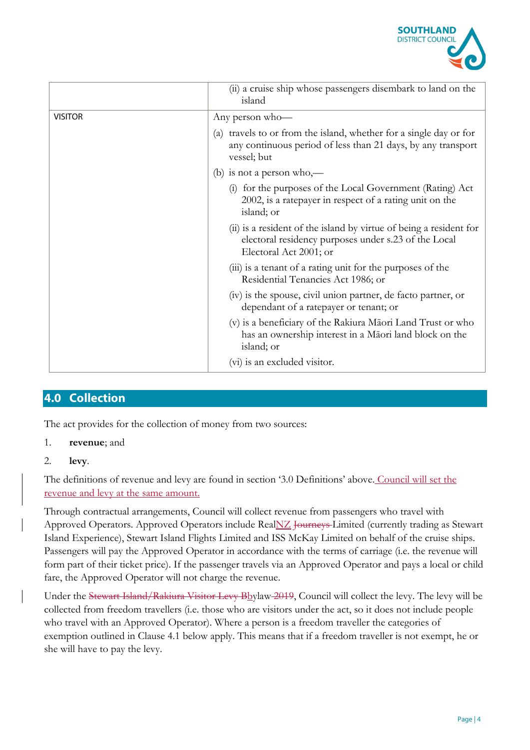

|                | (ii) a cruise ship whose passengers disembark to land on the<br>island                                                                               |
|----------------|------------------------------------------------------------------------------------------------------------------------------------------------------|
| <b>VISITOR</b> | Any person who-                                                                                                                                      |
|                | travels to or from the island, whether for a single day or for<br>(a)<br>any continuous period of less than 21 days, by any transport<br>vessel; but |
|                | (b) is not a person who,—                                                                                                                            |
|                | (i) for the purposes of the Local Government (Rating) Act<br>2002, is a ratepayer in respect of a rating unit on the<br>island; or                   |
|                | (ii) is a resident of the island by virtue of being a resident for<br>electoral residency purposes under s.23 of the Local<br>Electoral Act 2001; or |
|                | (iii) is a tenant of a rating unit for the purposes of the<br>Residential Tenancies Act 1986; or                                                     |
|                | (iv) is the spouse, civil union partner, de facto partner, or<br>dependant of a ratepayer or tenant; or                                              |
|                | (v) is a beneficiary of the Rakiura Māori Land Trust or who<br>has an ownership interest in a Māori land block on the<br>island; or                  |
|                | (vi) is an excluded visitor.                                                                                                                         |

# **4.0 Collection**

The act provides for the collection of money from two sources:

- 1. **revenue**; and
- 2. **levy**.

The definitions of revenue and levy are found in section '3.0 Definitions' above. Council will set the revenue and levy at the same amount.

Through contractual arrangements, Council will collect revenue from passengers who travel with Approved Operators. Approved Operators include RealNZ Journeys Limited (currently trading as Stewart Island Experience), Stewart Island Flights Limited and ISS McKay Limited on behalf of the cruise ships. Passengers will pay the Approved Operator in accordance with the terms of carriage (i.e. the revenue will form part of their ticket price). If the passenger travels via an Approved Operator and pays a local or child fare, the Approved Operator will not charge the revenue.

Under the Stewart Island/Rakiura Visitor Levy Bbylaw 2019, Council will collect the levy. The levy will be collected from freedom travellers (i.e. those who are visitors under the act, so it does not include people who travel with an Approved Operator). Where a person is a freedom traveller the categories of exemption outlined in Clause 4.1 below apply. This means that if a freedom traveller is not exempt, he or she will have to pay the levy.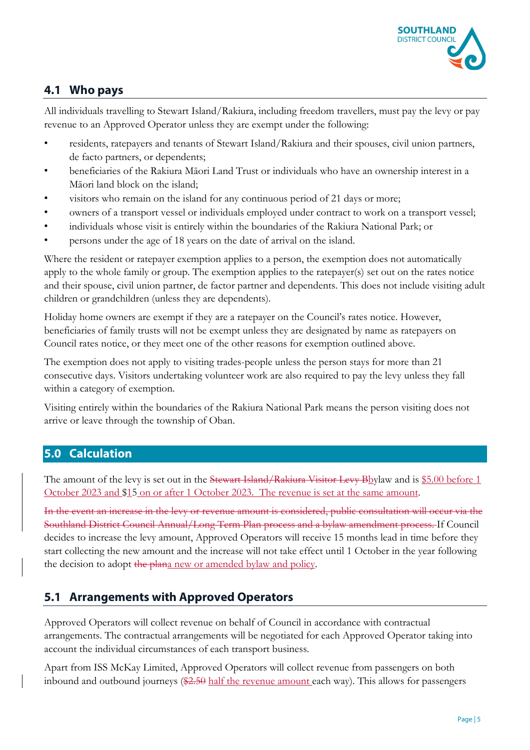

# **4.1 Who pays**

All individuals travelling to Stewart Island/Rakiura, including freedom travellers, must pay the levy or pay revenue to an Approved Operator unless they are exempt under the following:

- residents, ratepayers and tenants of Stewart Island/Rakiura and their spouses, civil union partners, de facto partners, or dependents;
- beneficiaries of the Rakiura Māori Land Trust or individuals who have an ownership interest in a Māori land block on the island;
- visitors who remain on the island for any continuous period of 21 days or more;
- owners of a transport vessel or individuals employed under contract to work on a transport vessel;
- individuals whose visit is entirely within the boundaries of the Rakiura National Park; or
- persons under the age of 18 years on the date of arrival on the island.

Where the resident or ratepayer exemption applies to a person, the exemption does not automatically apply to the whole family or group. The exemption applies to the ratepayer(s) set out on the rates notice and their spouse, civil union partner, de factor partner and dependents. This does not include visiting adult children or grandchildren (unless they are dependents).

Holiday home owners are exempt if they are a ratepayer on the Council's rates notice. However, beneficiaries of family trusts will not be exempt unless they are designated by name as ratepayers on Council rates notice, or they meet one of the other reasons for exemption outlined above.

The exemption does not apply to visiting trades-people unless the person stays for more than 21 consecutive days. Visitors undertaking volunteer work are also required to pay the levy unless they fall within a category of exemption.

Visiting entirely within the boundaries of the Rakiura National Park means the person visiting does not arrive or leave through the township of Oban.

# **5.0 Calculation**

The amount of the levy is set out in the Stewart Island/Rakiura Visitor Levy Bbylaw and is \$5.00 before 1 October 2023 and \$15 on or after 1 October 2023. The revenue is set at the same amount.

In the event an increase in the levy or revenue amount is considered, public consultation will occur via the Southland District Council Annual/Long Term Plan process and a bylaw amendment process. If Council decides to increase the levy amount, Approved Operators will receive 15 months lead in time before they start collecting the new amount and the increase will not take effect until 1 October in the year following the decision to adopt the plana new or amended bylaw and policy.

# **5.1 Arrangements with Approved Operators**

Approved Operators will collect revenue on behalf of Council in accordance with contractual arrangements. The contractual arrangements will be negotiated for each Approved Operator taking into account the individual circumstances of each transport business.

Apart from ISS McKay Limited, Approved Operators will collect revenue from passengers on both inbound and outbound journeys (\$2.50 half the revenue amount each way). This allows for passengers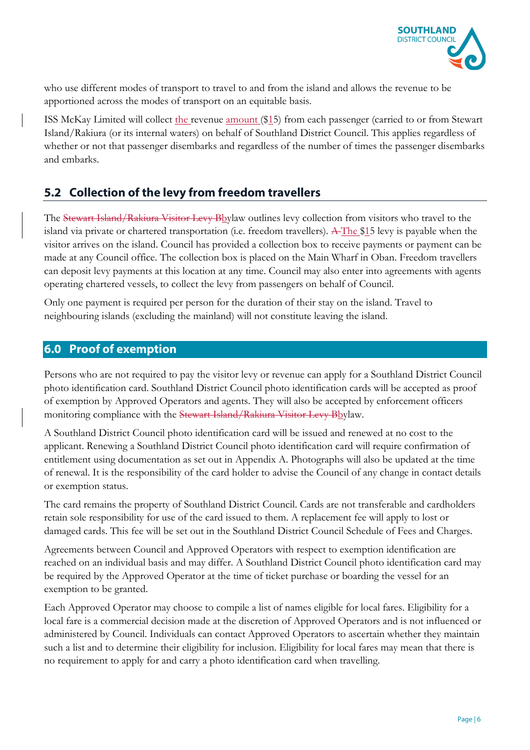

who use different modes of transport to travel to and from the island and allows the revenue to be apportioned across the modes of transport on an equitable basis.

ISS McKay Limited will collect the revenue amount (\$15) from each passenger (carried to or from Stewart Island/Rakiura (or its internal waters) on behalf of Southland District Council. This applies regardless of whether or not that passenger disembarks and regardless of the number of times the passenger disembarks and embarks.

# **5.2 Collection of the levy from freedom travellers**

The Stewart Island/Rakiura Visitor Levy Bbylaw outlines levy collection from visitors who travel to the island via private or chartered transportation (i.e. freedom travellers). A The \$15 levy is payable when the visitor arrives on the island. Council has provided a collection box to receive payments or payment can be made at any Council office. The collection box is placed on the Main Wharf in Oban. Freedom travellers can deposit levy payments at this location at any time. Council may also enter into agreements with agents operating chartered vessels, to collect the levy from passengers on behalf of Council.

Only one payment is required per person for the duration of their stay on the island. Travel to neighbouring islands (excluding the mainland) will not constitute leaving the island.

## **6.0 Proof of exemption**

Persons who are not required to pay the visitor levy or revenue can apply for a Southland District Council photo identification card. Southland District Council photo identification cards will be accepted as proof of exemption by Approved Operators and agents. They will also be accepted by enforcement officers monitoring compliance with the Stewart Island/Rakiura Visitor Levy Bbylaw.

A Southland District Council photo identification card will be issued and renewed at no cost to the applicant. Renewing a Southland District Council photo identification card will require confirmation of entitlement using documentation as set out in Appendix A. Photographs will also be updated at the time of renewal. It is the responsibility of the card holder to advise the Council of any change in contact details or exemption status.

The card remains the property of Southland District Council. Cards are not transferable and cardholders retain sole responsibility for use of the card issued to them. A replacement fee will apply to lost or damaged cards. This fee will be set out in the Southland District Council Schedule of Fees and Charges.

Agreements between Council and Approved Operators with respect to exemption identification are reached on an individual basis and may differ. A Southland District Council photo identification card may be required by the Approved Operator at the time of ticket purchase or boarding the vessel for an exemption to be granted.

Each Approved Operator may choose to compile a list of names eligible for local fares. Eligibility for a local fare is a commercial decision made at the discretion of Approved Operators and is not influenced or administered by Council. Individuals can contact Approved Operators to ascertain whether they maintain such a list and to determine their eligibility for inclusion. Eligibility for local fares may mean that there is no requirement to apply for and carry a photo identification card when travelling.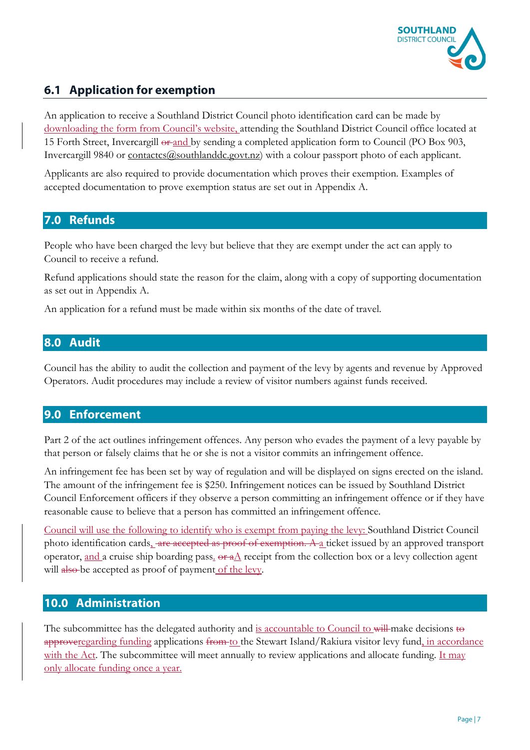

# **6.1 Application for exemption**

An application to receive a Southland District Council photo identification card can be made by downloading the form from Council's website, attending the Southland District Council office located at 15 Forth Street, Invercargill or and by sending a completed application form to Council (PO Box 903, Invercargill 9840 or contactcs@southlanddc.govt.nz) with a colour passport photo of each applicant.

Applicants are also required to provide documentation which proves their exemption. Examples of accepted documentation to prove exemption status are set out in Appendix A.

# **7.0 Refunds**

People who have been charged the levy but believe that they are exempt under the act can apply to Council to receive a refund.

Refund applications should state the reason for the claim, along with a copy of supporting documentation as set out in Appendix A.

An application for a refund must be made within six months of the date of travel.

#### **8.0 Audit**

Council has the ability to audit the collection and payment of the levy by agents and revenue by Approved Operators. Audit procedures may include a review of visitor numbers against funds received.

## **9.0 Enforcement**

Part 2 of the act outlines infringement offences. Any person who evades the payment of a levy payable by that person or falsely claims that he or she is not a visitor commits an infringement offence.

An infringement fee has been set by way of regulation and will be displayed on signs erected on the island. The amount of the infringement fee is \$250. Infringement notices can be issued by Southland District Council Enforcement officers if they observe a person committing an infringement offence or if they have reasonable cause to believe that a person has committed an infringement offence.

Council will use the following to identify who is exempt from paying the levy: Southland District Council photo identification cards, are accepted as proof of exemption. A a ticket issued by an approved transport operator, and a cruise ship boarding pass.  $\theta + aA$  receipt from the collection box or a levy collection agent will also be accepted as proof of payment of the levy.

# **10.0 Administration**

The subcommittee has the delegated authority and is accountable to Council to will make decisions to approveregarding funding applications from to the Stewart Island/Rakiura visitor levy fund, in accordance with the Act. The subcommittee will meet annually to review applications and allocate funding. It may only allocate funding once a year.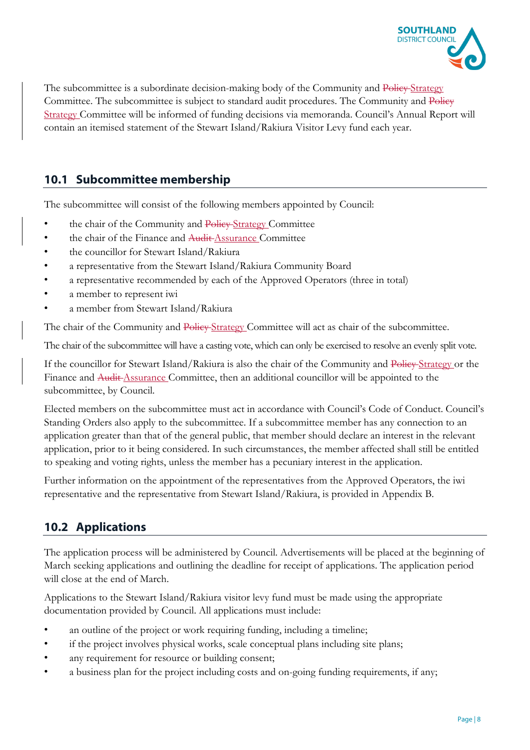

The subcommittee is a subordinate decision-making body of the Community and Policy Strategy Committee. The subcommittee is subject to standard audit procedures. The Community and Policy Strategy Committee will be informed of funding decisions via memoranda. Council's Annual Report will contain an itemised statement of the Stewart Island/Rakiura Visitor Levy fund each year.

# **10.1 Subcommittee membership**

The subcommittee will consist of the following members appointed by Council:

- the chair of the Community and Policy Strategy Committee
- the chair of the Finance and <del>Audit Assurance Committee</del>
- the councillor for Stewart Island/Rakiura
- a representative from the Stewart Island/Rakiura Community Board
- a representative recommended by each of the Approved Operators (three in total)
- a member to represent iwi
- a member from Stewart Island/Rakiura

The chair of the Community and Policy Strategy Committee will act as chair of the subcommittee.

The chair of the subcommittee will have a casting vote, which can only be exercised to resolve an evenly split vote.

If the councillor for Stewart Island/Rakiura is also the chair of the Community and Policy Strategy or the Finance and Audit Assurance Committee, then an additional councillor will be appointed to the subcommittee, by Council.

Elected members on the subcommittee must act in accordance with Council's Code of Conduct. Council's Standing Orders also apply to the subcommittee. If a subcommittee member has any connection to an application greater than that of the general public, that member should declare an interest in the relevant application, prior to it being considered. In such circumstances, the member affected shall still be entitled to speaking and voting rights, unless the member has a pecuniary interest in the application.

Further information on the appointment of the representatives from the Approved Operators, the iwi representative and the representative from Stewart Island/Rakiura, is provided in Appendix B.

# **10.2 Applications**

The application process will be administered by Council. Advertisements will be placed at the beginning of March seeking applications and outlining the deadline for receipt of applications. The application period will close at the end of March.

Applications to the Stewart Island/Rakiura visitor levy fund must be made using the appropriate documentation provided by Council. All applications must include:

- an outline of the project or work requiring funding, including a timeline;
- if the project involves physical works, scale conceptual plans including site plans;
- any requirement for resource or building consent;
- a business plan for the project including costs and on-going funding requirements, if any;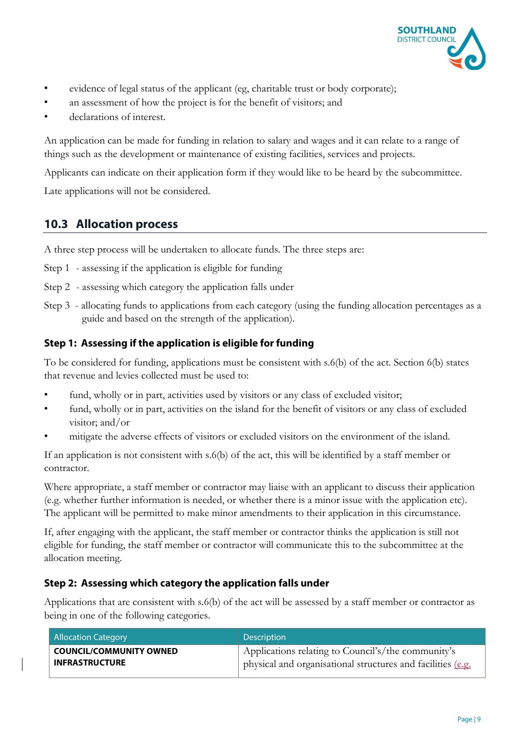

- evidence of legal status of the applicant (eg, charitable trust or body corporate);
- an assessment of how the project is for the benefit of visitors; and
- declarations of interest.

An application can be made for funding in relation to salary and wages and it can relate to a range of things such as the development or maintenance of existing facilities, services and projects.

Applicants can indicate on their application form if they would like to be heard by the subcommittee.

Late applications will not be considered.

# **10.3 Allocation process**

A three step process will be undertaken to allocate funds. The three steps are:

- Step 1 assessing if the application is eligible for funding
- Step 2 assessing which category the application falls under
- Step 3 allocating funds to applications from each category (using the funding allocation percentages as a guide and based on the strength of the application).

## **Step 1: Assessing if the application is eligible for funding**

To be considered for funding, applications must be consistent with s.6(b) of the act. Section 6(b) states that revenue and levies collected must be used to:

- fund, wholly or in part, activities used by visitors or any class of excluded visitor;
- fund, wholly or in part, activities on the island for the benefit of visitors or any class of excluded visitor; and/or
- mitigate the adverse effects of visitors or excluded visitors on the environment of the island.

If an application is not consistent with s.6(b) of the act, this will be identified by a staff member or contractor.

Where appropriate, a staff member or contractor may liaise with an applicant to discuss their application (e.g. whether further information is needed, or whether there is a minor issue with the application etc). The applicant will be permitted to make minor amendments to their application in this circumstance.

If, after engaging with the applicant, the staff member or contractor thinks the application is still not eligible for funding, the staff member or contractor will communicate this to the subcommittee at the allocation meeting.

#### **Step 2: Assessing which category the application falls under**

Applications that are consistent with s.6(b) of the act will be assessed by a staff member or contractor as being in one of the following categories.

| <b>Allocation Category</b>     | <b>Description</b>                                          |
|--------------------------------|-------------------------------------------------------------|
| <b>COUNCIL/COMMUNITY OWNED</b> | Applications relating to Council's/the community's          |
| <b>INFRASTRUCTURE</b>          | physical and organisational structures and facilities (e.g. |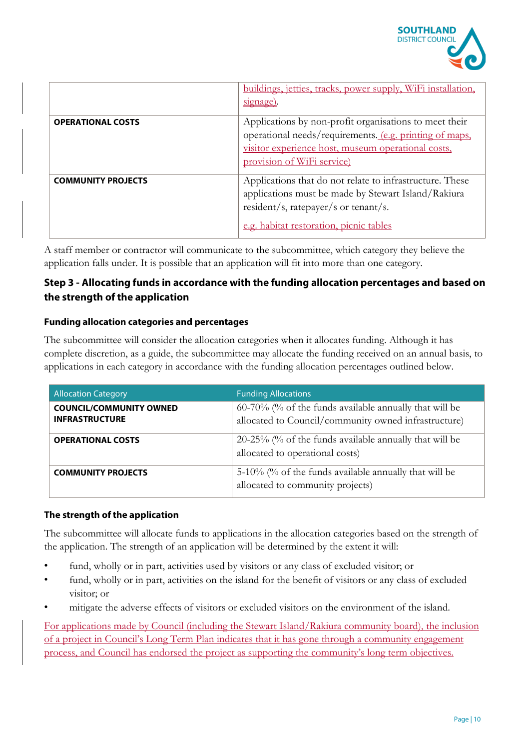

|                           | buildings, jetties, tracks, power supply, WiFi installation,<br>$signage)$ .                                                                                                                          |
|---------------------------|-------------------------------------------------------------------------------------------------------------------------------------------------------------------------------------------------------|
| <b>OPERATIONAL COSTS</b>  | Applications by non-profit organisations to meet their<br>operational needs/requirements. (e.g. printing of maps,<br>visitor experience host, museum operational costs,<br>provision of WiFi service) |
| <b>COMMUNITY PROJECTS</b> | Applications that do not relate to infrastructure. These<br>applications must be made by Stewart Island/Rakiura<br>resident/s, ratepayer/s or tenant/s.<br>e.g. habitat restoration, picnic tables    |

A staff member or contractor will communicate to the subcommittee, which category they believe the application falls under. It is possible that an application will fit into more than one category.

# **Step 3 - Allocating funds in accordance with the funding allocation percentages and based on the strength of the application**

#### **Funding allocation categories and percentages**

The subcommittee will consider the allocation categories when it allocates funding. Although it has complete discretion, as a guide, the subcommittee may allocate the funding received on an annual basis, to applications in each category in accordance with the funding allocation percentages outlined below.

| <b>Allocation Category</b>                              | <b>Funding Allocations</b>                                                                                        |
|---------------------------------------------------------|-------------------------------------------------------------------------------------------------------------------|
| <b>COUNCIL/COMMUNITY OWNED</b><br><b>INFRASTRUCTURE</b> | $60-70\%$ (% of the funds available annually that will be<br>allocated to Council/community owned infrastructure) |
| <b>OPERATIONAL COSTS</b>                                | $20-25\%$ (% of the funds available annually that will be<br>allocated to operational costs)                      |
| <b>COMMUNITY PROJECTS</b>                               | 5-10% (% of the funds available annually that will be<br>allocated to community projects)                         |

#### **The strength of the application**

The subcommittee will allocate funds to applications in the allocation categories based on the strength of the application. The strength of an application will be determined by the extent it will:

- fund, wholly or in part, activities used by visitors or any class of excluded visitor; or
- fund, wholly or in part, activities on the island for the benefit of visitors or any class of excluded visitor; or
- mitigate the adverse effects of visitors or excluded visitors on the environment of the island.

For applications made by Council (including the Stewart Island/Rakiura community board), the inclusion of a project in Council's Long Term Plan indicates that it has gone through a community engagement process, and Council has endorsed the project as supporting the community's long term objectives.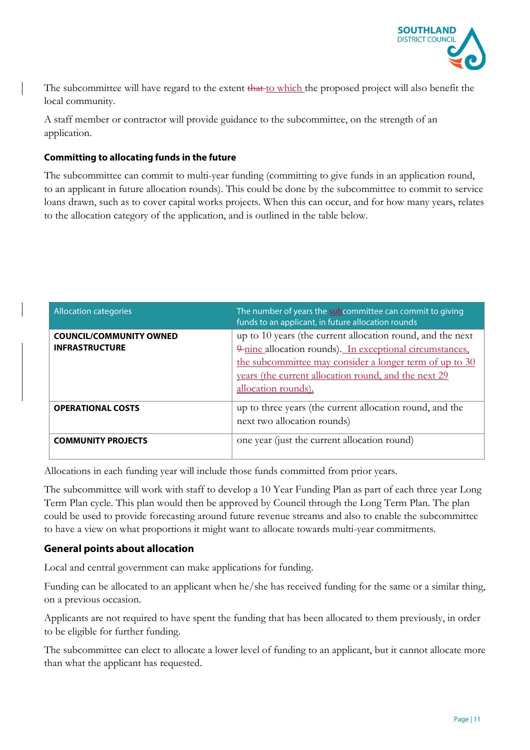

The subcommittee will have regard to the extent that to which the proposed project will also benefit the local community.

A staff member or contractor will provide guidance to the subcommittee, on the strength of an application.

#### **Committing to allocating funds in the future**

The subcommittee can commit to multi-year funding (committing to give funds in an application round, to an applicant in future allocation rounds). This could be done by the subcommittee to commit to service loans drawn, such as to cover capital works projects. When this can occur, and for how many years, relates to the allocation category of the application, and is outlined in the table below.

| <b>Allocation categories</b>                            | The number of years the subcommittee can commit to giving<br>funds to an applicant, in future allocation rounds                                                                                                                                                  |
|---------------------------------------------------------|------------------------------------------------------------------------------------------------------------------------------------------------------------------------------------------------------------------------------------------------------------------|
| <b>COUNCIL/COMMUNITY OWNED</b><br><b>INFRASTRUCTURE</b> | up to 10 years (the current allocation round, and the next<br>9-nine allocation rounds). In exceptional circumstances,<br>the subcommittee may consider a longer term of up to 30<br>years (the current allocation round, and the next 29<br>allocation rounds). |
| <b>OPERATIONAL COSTS</b>                                | up to three years (the current allocation round, and the<br>next two allocation rounds)                                                                                                                                                                          |
| <b>COMMUNITY PROJECTS</b>                               | one year (just the current allocation round)                                                                                                                                                                                                                     |

Allocations in each funding year will include those funds committed from prior years.

The subcommittee will work with staff to develop a 10 Year Funding Plan as part of each three year Long Term Plan cycle. This plan would then be approved by Council through the Long Term Plan. The plan could be used to provide forecasting around future revenue streams and also to enable the subcommittee to have a view on what proportions it might want to allocate towards multi-year commitments.

#### **General points about allocation**

Local and central government can make applications for funding.

Funding can be allocated to an applicant when he/she has received funding for the same or a similar thing, on a previous occasion.

Applicants are not required to have spent the funding that has been allocated to them previously, in order to be eligible for further funding.

The subcommittee can elect to allocate a lower level of funding to an applicant, but it cannot allocate more than what the applicant has requested.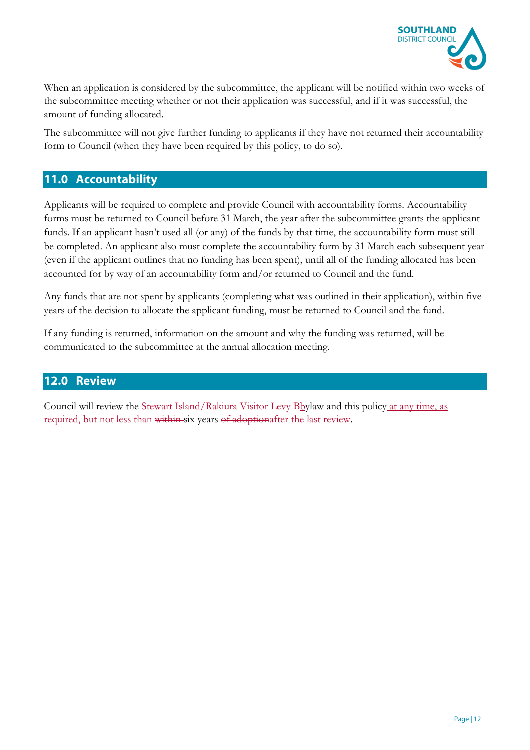

When an application is considered by the subcommittee, the applicant will be notified within two weeks of the subcommittee meeting whether or not their application was successful, and if it was successful, the amount of funding allocated.

The subcommittee will not give further funding to applicants if they have not returned their accountability form to Council (when they have been required by this policy, to do so).

# **11.0 Accountability**

Applicants will be required to complete and provide Council with accountability forms. Accountability forms must be returned to Council before 31 March, the year after the subcommittee grants the applicant funds. If an applicant hasn't used all (or any) of the funds by that time, the accountability form must still be completed. An applicant also must complete the accountability form by 31 March each subsequent year (even if the applicant outlines that no funding has been spent), until all of the funding allocated has been accounted for by way of an accountability form and/or returned to Council and the fund.

Any funds that are not spent by applicants (completing what was outlined in their application), within five years of the decision to allocate the applicant funding, must be returned to Council and the fund.

If any funding is returned, information on the amount and why the funding was returned, will be communicated to the subcommittee at the annual allocation meeting.

# **12.0 Review**

Council will review the Stewart Island/Rakiura Visitor Levy Bbylaw and this policy at any time, as required, but not less than within six years of adoptionafter the last review.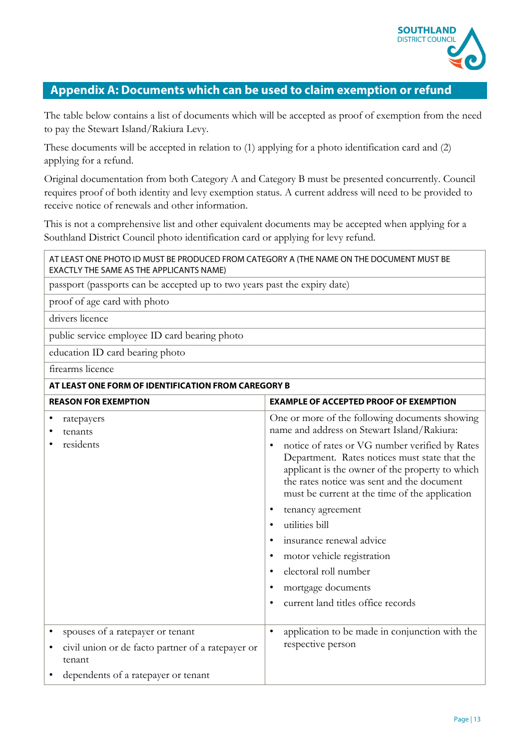

# **Appendix A: Documents which can be used to claim exemption or refund**

The table below contains a list of documents which will be accepted as proof of exemption from the need to pay the Stewart Island/Rakiura Levy.

These documents will be accepted in relation to (1) applying for a photo identification card and (2) applying for a refund.

Original documentation from both Category A and Category B must be presented concurrently. Council requires proof of both identity and levy exemption status. A current address will need to be provided to receive notice of renewals and other information.

This is not a comprehensive list and other equivalent documents may be accepted when applying for a Southland District Council photo identification card or applying for levy refund.

#### AT LEAST ONE PHOTO ID MUST BE PRODUCED FROM CATEGORY A (THE NAME ON THE DOCUMENT MUST BE EXACTLY THE SAME AS THE APPLICANTS NAME)

passport (passports can be accepted up to two years past the expiry date)

proof of age card with photo

drivers licence

public service employee ID card bearing photo

education ID card bearing photo

firearms licence

#### **AT LEAST ONE FORM OF IDENTIFICATION FROM CAREGORY B**

| <b>REASON FOR EXEMPTION</b>                                 | <b>EXAMPLE OF ACCEPTED PROOF OF EXEMPTION</b> |                                                                                                                                                                                                                                                    |  |  |  |  |
|-------------------------------------------------------------|-----------------------------------------------|----------------------------------------------------------------------------------------------------------------------------------------------------------------------------------------------------------------------------------------------------|--|--|--|--|
| ratepayers<br>tenants                                       |                                               | One or more of the following documents showing<br>name and address on Stewart Island/Rakiura:                                                                                                                                                      |  |  |  |  |
| residents                                                   | $\bullet$                                     | notice of rates or VG number verified by Rates<br>Department. Rates notices must state that the<br>applicant is the owner of the property to which<br>the rates notice was sent and the document<br>must be current at the time of the application |  |  |  |  |
|                                                             | ٠                                             | tenancy agreement                                                                                                                                                                                                                                  |  |  |  |  |
|                                                             | $\bullet$                                     | utilities bill                                                                                                                                                                                                                                     |  |  |  |  |
|                                                             | $\bullet$                                     | insurance renewal advice                                                                                                                                                                                                                           |  |  |  |  |
|                                                             | $\bullet$                                     | motor vehicle registration                                                                                                                                                                                                                         |  |  |  |  |
|                                                             | $\bullet$                                     | electoral roll number                                                                                                                                                                                                                              |  |  |  |  |
|                                                             | $\bullet$                                     | mortgage documents                                                                                                                                                                                                                                 |  |  |  |  |
|                                                             | $\bullet$                                     | current land titles office records                                                                                                                                                                                                                 |  |  |  |  |
|                                                             |                                               |                                                                                                                                                                                                                                                    |  |  |  |  |
| spouses of a ratepayer or tenant                            | $\bullet$                                     | application to be made in conjunction with the                                                                                                                                                                                                     |  |  |  |  |
| civil union or de facto partner of a ratepayer or<br>tenant |                                               | respective person                                                                                                                                                                                                                                  |  |  |  |  |
| dependents of a ratepayer or tenant                         |                                               |                                                                                                                                                                                                                                                    |  |  |  |  |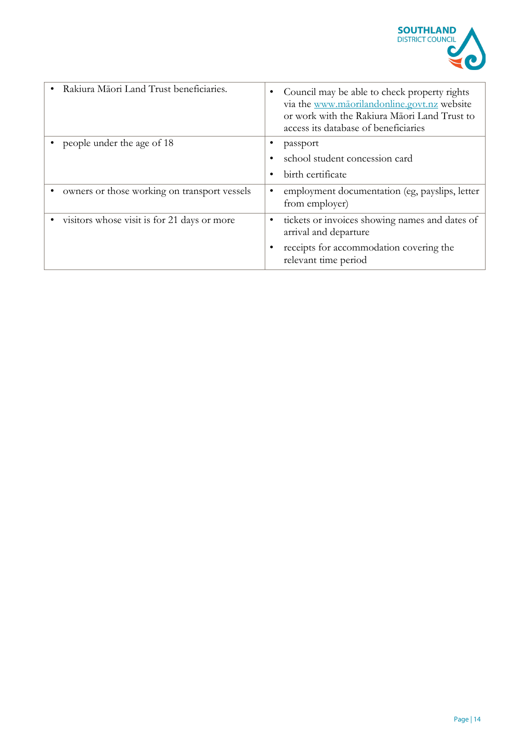

| Rakiura Māori Land Trust beneficiaries.      |           | Council may be able to check property rights<br>via the www.māorilandonline.govt.nz website<br>or work with the Rakiura Māori Land Trust to<br>access its database of beneficiaries |
|----------------------------------------------|-----------|-------------------------------------------------------------------------------------------------------------------------------------------------------------------------------------|
| people under the age of 18                   |           | passport                                                                                                                                                                            |
|                                              |           | school student concession card                                                                                                                                                      |
|                                              | $\bullet$ | birth certificate                                                                                                                                                                   |
| owners or those working on transport vessels | $\bullet$ | employment documentation (eg, payslips, letter<br>from employer)                                                                                                                    |
| visitors whose visit is for 21 days or more  | $\bullet$ | tickets or invoices showing names and dates of<br>arrival and departure                                                                                                             |
|                                              |           | receipts for accommodation covering the<br>relevant time period                                                                                                                     |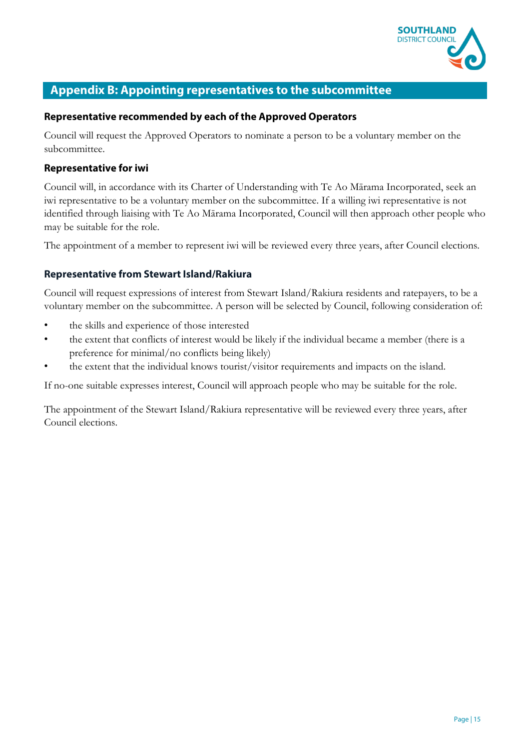

# **Appendix B: Appointing representatives to the subcommittee**

#### **Representative recommended by each of the Approved Operators**

Council will request the Approved Operators to nominate a person to be a voluntary member on the subcommittee.

#### **Representative for iwi**

Council will, in accordance with its Charter of Understanding with Te Ao Mārama Incorporated, seek an iwi representative to be a voluntary member on the subcommittee. If a willing iwi representative is not identified through liaising with Te Ao Mārama Incorporated, Council will then approach other people who may be suitable for the role.

The appointment of a member to represent iwi will be reviewed every three years, after Council elections.

#### **Representative from Stewart Island/Rakiura**

Council will request expressions of interest from Stewart Island/Rakiura residents and ratepayers, to be a voluntary member on the subcommittee. A person will be selected by Council, following consideration of:

- the skills and experience of those interested
- the extent that conflicts of interest would be likely if the individual became a member (there is a preference for minimal/no conflicts being likely)
- the extent that the individual knows tourist/visitor requirements and impacts on the island.

If no-one suitable expresses interest, Council will approach people who may be suitable for the role.

The appointment of the Stewart Island/Rakiura representative will be reviewed every three years, after Council elections.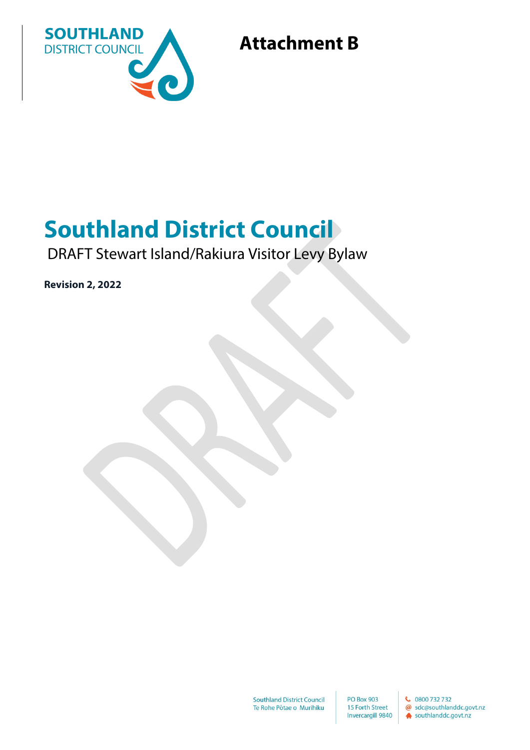

**Attachment B** 

# **Southland District Council**

DRAFT Stewart Island/Rakiura Visitor Levy Bylaw

**Revision 2, 2022**

**Southland District Council** Te Rohe Pōtae o Murihiku **PO Box 903** 15 Forth Street Invercargill 9840 ₹ 0800 732 732 @ sdc@southlanddc.govt.nz

southlanddc.govt.nz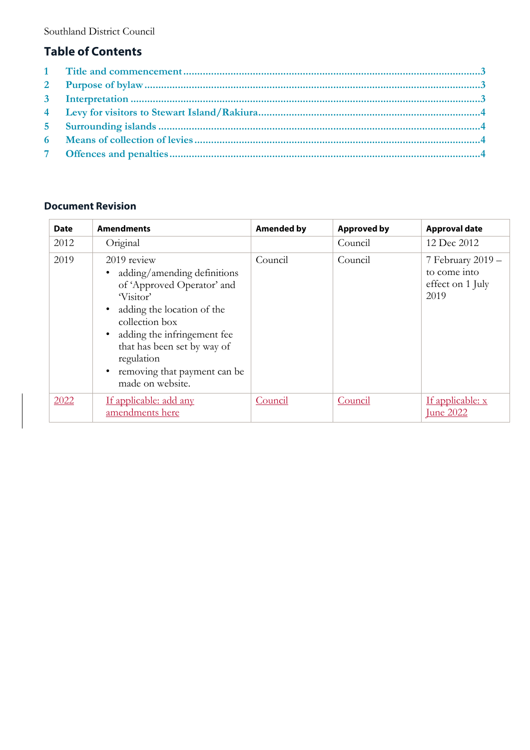Southland District Council

# **Table of Contents**

#### **Document Revision**

| <b>Date</b> | <b>Amendments</b>                                                                                                                                                                                                                                                       | <b>Amended by</b> | <b>Approved by</b> | <b>Approval date</b>                                          |
|-------------|-------------------------------------------------------------------------------------------------------------------------------------------------------------------------------------------------------------------------------------------------------------------------|-------------------|--------------------|---------------------------------------------------------------|
| 2012        | Original                                                                                                                                                                                                                                                                |                   | Council            | 12 Dec 2012                                                   |
| 2019        | 2019 review<br>adding/amending definitions<br>of 'Approved Operator' and<br>'Visitor'<br>• adding the location of the<br>collection box<br>adding the infringement fee<br>that has been set by way of<br>regulation<br>removing that payment can be<br>made on website. | Council           | Council            | 7 February 2019 -<br>to come into<br>effect on 1 July<br>2019 |
| 2022        | If applicable: add any<br>amendments here                                                                                                                                                                                                                               | Council           | Council            | If applicable: x<br><u>June 2022</u>                          |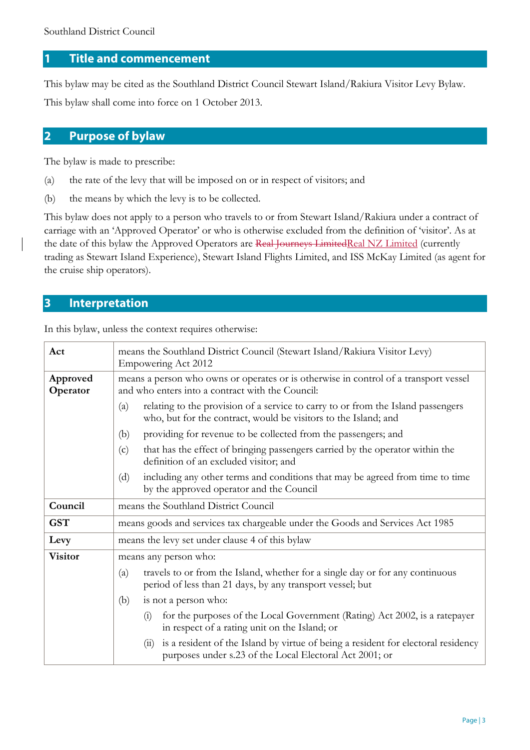<span id="page-25-0"></span>Southland District Council

#### **1 Title and commencement**

This bylaw may be cited as the Southland District Council Stewart Island/Rakiura Visitor Levy Bylaw. This bylaw shall come into force on 1 October 2013.

#### <span id="page-25-1"></span>**2 Purpose of bylaw**

The bylaw is made to prescribe:

- (a) the rate of the levy that will be imposed on or in respect of visitors; and
- (b) the means by which the levy is to be collected.

This bylaw does not apply to a person who travels to or from Stewart Island/Rakiura under a contract of carriage with an 'Approved Operator' or who is otherwise excluded from the definition of 'visitor'. As at the date of this bylaw the Approved Operators are Real Journeys LimitedReal NZ Limited (currently trading as Stewart Island Experience), Stewart Island Flights Limited, and ISS McKay Limited (as agent for the cruise ship operators).

#### <span id="page-25-2"></span>**3 Interpretation**

In this bylaw, unless the context requires otherwise:

| Act                  | means the Southland District Council (Stewart Island/Rakiura Visitor Levy)<br>Empowering Act 2012                                                          |  |  |  |  |  |  |  |  |  |
|----------------------|------------------------------------------------------------------------------------------------------------------------------------------------------------|--|--|--|--|--|--|--|--|--|
| Approved<br>Operator | means a person who owns or operates or is otherwise in control of a transport vessel<br>and who enters into a contract with the Council:                   |  |  |  |  |  |  |  |  |  |
|                      | relating to the provision of a service to carry to or from the Island passengers<br>(a)<br>who, but for the contract, would be visitors to the Island; and |  |  |  |  |  |  |  |  |  |
|                      | providing for revenue to be collected from the passengers; and<br>(b)                                                                                      |  |  |  |  |  |  |  |  |  |
|                      | that has the effect of bringing passengers carried by the operator within the<br>(c)<br>definition of an excluded visitor; and                             |  |  |  |  |  |  |  |  |  |
|                      | including any other terms and conditions that may be agreed from time to time<br>(d)<br>by the approved operator and the Council                           |  |  |  |  |  |  |  |  |  |
| Council              | means the Southland District Council                                                                                                                       |  |  |  |  |  |  |  |  |  |
| <b>GST</b>           | means goods and services tax chargeable under the Goods and Services Act 1985                                                                              |  |  |  |  |  |  |  |  |  |
| Levy                 | means the levy set under clause 4 of this bylaw                                                                                                            |  |  |  |  |  |  |  |  |  |
| <b>Visitor</b>       | means any person who:                                                                                                                                      |  |  |  |  |  |  |  |  |  |
|                      | travels to or from the Island, whether for a single day or for any continuous<br>(a)<br>period of less than 21 days, by any transport vessel; but          |  |  |  |  |  |  |  |  |  |
|                      | is not a person who:<br>(b)                                                                                                                                |  |  |  |  |  |  |  |  |  |
|                      | for the purposes of the Local Government (Rating) Act 2002, is a ratepayer<br>(i)<br>in respect of a rating unit on the Island; or                         |  |  |  |  |  |  |  |  |  |
|                      | is a resident of the Island by virtue of being a resident for electoral residency<br>(11)<br>purposes under s.23 of the Local Electoral Act 2001; or       |  |  |  |  |  |  |  |  |  |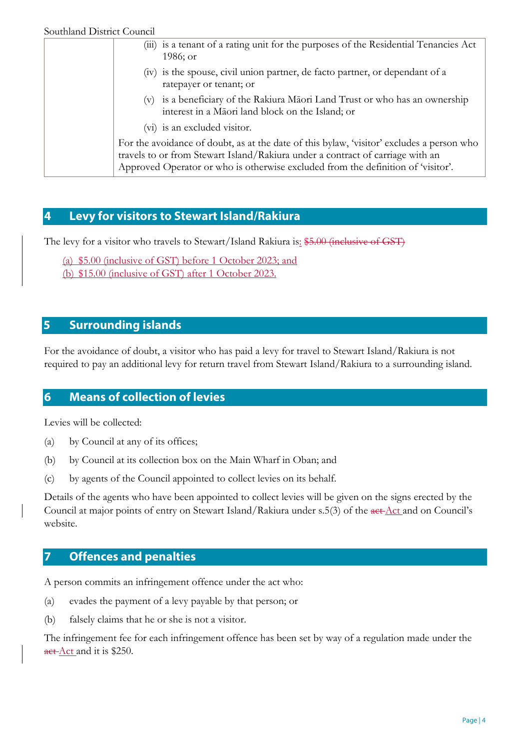#### Southland District Council

| оцинани гляни социин |                                                                                           |
|----------------------|-------------------------------------------------------------------------------------------|
|                      | (iii) is a tenant of a rating unit for the purposes of the Residential Tenancies Act      |
|                      | 1986; or                                                                                  |
|                      | (iv) is the spouse, civil union partner, de facto partner, or dependant of a              |
|                      | ratepayer or tenant; or                                                                   |
|                      | (v) is a beneficiary of the Rakiura Māori Land Trust or who has an ownership              |
|                      | interest in a Māori land block on the Island; or                                          |
|                      | (vi) is an excluded visitor.                                                              |
|                      | For the avoidance of doubt, as at the date of this bylaw, 'visitor' excludes a person who |
|                      | travels to or from Stewart Island/Rakiura under a contract of carriage with an            |
|                      | Approved Operator or who is otherwise excluded from the definition of 'visitor'.          |

# <span id="page-26-0"></span>**4 Levy for visitors to Stewart Island/Rakiura**

The levy for a visitor who travels to Stewart/Island Rakiura is: \$5.00 (inclusive of GST)

(a) \$5.00 (inclusive of GST) before 1 October 2023; and (b) \$15.00 (inclusive of GST) after 1 October 2023.

## <span id="page-26-1"></span>**5 Surrounding islands**

For the avoidance of doubt, a visitor who has paid a levy for travel to Stewart Island/Rakiura is not required to pay an additional levy for return travel from Stewart Island/Rakiura to a surrounding island.

## <span id="page-26-2"></span>**6 Means of collection of levies**

Levies will be collected:

- (a) by Council at any of its offices;
- (b) by Council at its collection box on the Main Wharf in Oban; and
- (c) by agents of the Council appointed to collect levies on its behalf.

Details of the agents who have been appointed to collect levies will be given on the signs erected by the Council at major points of entry on Stewart Island/Rakiura under s.5(3) of the act-Act and on Council's website.

# <span id="page-26-3"></span>**7 Offences and penalties**

A person commits an infringement offence under the act who:

- (a) evades the payment of a levy payable by that person; or
- (b) falsely claims that he or she is not a visitor.

The infringement fee for each infringement offence has been set by way of a regulation made under the act Act and it is \$250.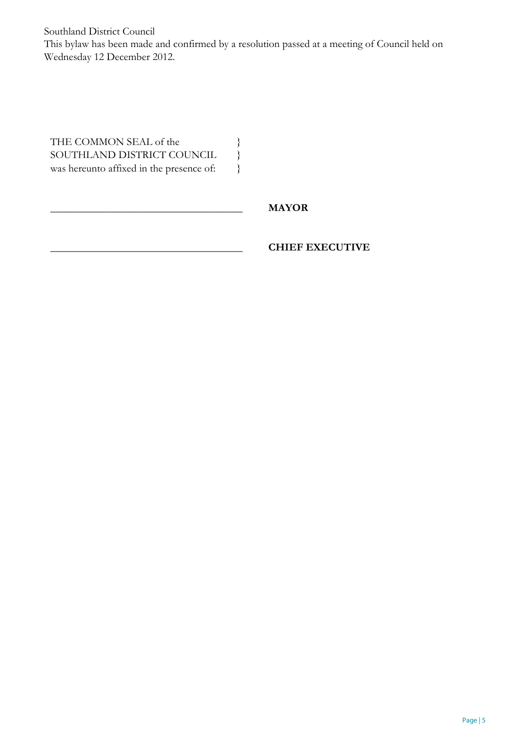Southland District Council This bylaw has been made and confirmed by a resolution passed at a meeting of Council held on Wednesday 12 December 2012.

THE COMMON SEAL of the  $\}$ SOUTHLAND DISTRICT COUNCIL  $\qquad$ was hereunto affixed in the presence of:  $\}$ 

\_\_\_\_\_\_\_\_\_\_\_\_\_\_\_\_\_\_\_\_\_\_\_\_\_\_\_\_\_\_\_\_\_\_\_\_ **MAYOR**

\_\_\_\_\_\_\_\_\_\_\_\_\_\_\_\_\_\_\_\_\_\_\_\_\_\_\_\_\_\_\_\_\_\_\_\_ **CHIEF EXECUTIVE**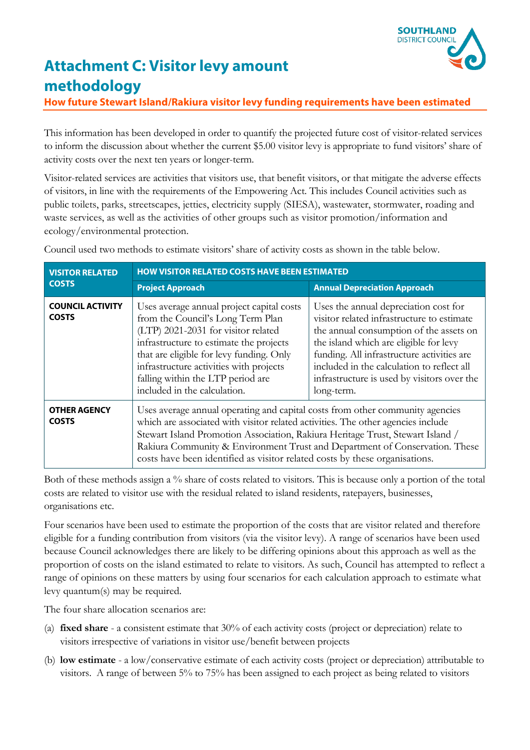

# **Attachment C: Visitor levy amount methodology**

# **How future Stewart Island/Rakiura visitor levy funding requirements have been estimated**

This information has been developed in order to quantify the projected future cost of visitor-related services to inform the discussion about whether the current \$5.00 visitor levy is appropriate to fund visitors' share of activity costs over the next ten years or longer-term.

Visitor-related services are activities that visitors use, that benefit visitors, or that mitigate the adverse effects of visitors, in line with the requirements of the Empowering Act. This includes Council activities such as public toilets, parks, streetscapes, jetties, electricity supply (SIESA), wastewater, stormwater, roading and waste services, as well as the activities of other groups such as visitor promotion/information and ecology/environmental protection.

| <b>VISITOR RELATED</b>                  | <b>HOW VISITOR RELATED COSTS HAVE BEEN ESTIMATED</b>                                                                                                                                                                                                                                                                                                                                                              |                                                                                                                                                                                                                                                                                                                                   |  |  |  |  |  |
|-----------------------------------------|-------------------------------------------------------------------------------------------------------------------------------------------------------------------------------------------------------------------------------------------------------------------------------------------------------------------------------------------------------------------------------------------------------------------|-----------------------------------------------------------------------------------------------------------------------------------------------------------------------------------------------------------------------------------------------------------------------------------------------------------------------------------|--|--|--|--|--|
| <b>COSTS</b>                            | <b>Project Approach</b>                                                                                                                                                                                                                                                                                                                                                                                           | <b>Annual Depreciation Approach</b>                                                                                                                                                                                                                                                                                               |  |  |  |  |  |
| <b>COUNCIL ACTIVITY</b><br><b>COSTS</b> | Uses average annual project capital costs<br>from the Council's Long Term Plan<br>(LTP) 2021-2031 for visitor related<br>infrastructure to estimate the projects<br>that are eligible for levy funding. Only<br>infrastructure activities with projects<br>falling within the LTP period are<br>included in the calculation.                                                                                      | Uses the annual depreciation cost for<br>visitor related infrastructure to estimate<br>the annual consumption of the assets on<br>the island which are eligible for levy<br>funding. All infrastructure activities are<br>included in the calculation to reflect all<br>infrastructure is used by visitors over the<br>long-term. |  |  |  |  |  |
| <b>OTHER AGENCY</b><br><b>COSTS</b>     | Uses average annual operating and capital costs from other community agencies<br>which are associated with visitor related activities. The other agencies include<br>Stewart Island Promotion Association, Rakiura Heritage Trust, Stewart Island /<br>Rakiura Community & Environment Trust and Department of Conservation. These<br>costs have been identified as visitor related costs by these organisations. |                                                                                                                                                                                                                                                                                                                                   |  |  |  |  |  |

Council used two methods to estimate visitors' share of activity costs as shown in the table below.

Both of these methods assign a % share of costs related to visitors. This is because only a portion of the total costs are related to visitor use with the residual related to island residents, ratepayers, businesses, organisations etc.

Four scenarios have been used to estimate the proportion of the costs that are visitor related and therefore eligible for a funding contribution from visitors (via the visitor levy). A range of scenarios have been used because Council acknowledges there are likely to be differing opinions about this approach as well as the proportion of costs on the island estimated to relate to visitors. As such, Council has attempted to reflect a range of opinions on these matters by using four scenarios for each calculation approach to estimate what levy quantum(s) may be required.

The four share allocation scenarios are:

- (a) **fixed share** a consistent estimate that 30% of each activity costs (project or depreciation) relate to visitors irrespective of variations in visitor use/benefit between projects
- (b) **low estimate** a low/conservative estimate of each activity costs (project or depreciation) attributable to visitors. A range of between 5% to 75% has been assigned to each project as being related to visitors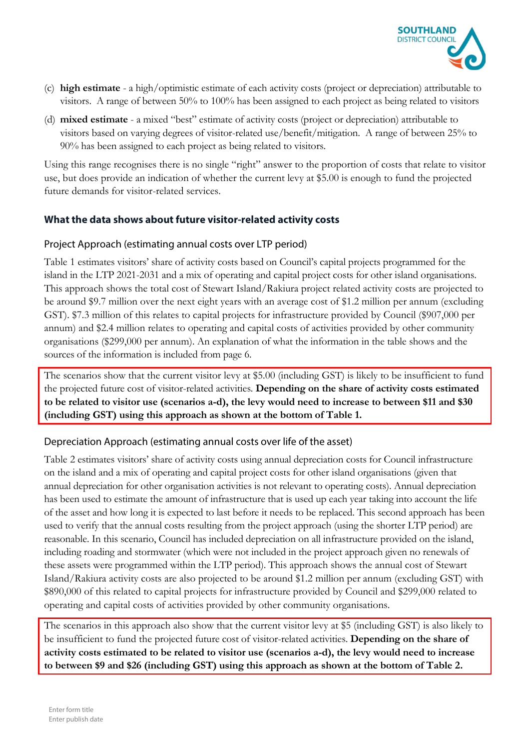

- (c) **high estimate** a high/optimistic estimate of each activity costs (project or depreciation) attributable to visitors. A range of between 50% to 100% has been assigned to each project as being related to visitors
- (d) **mixed estimate** a mixed "best" estimate of activity costs (project or depreciation) attributable to visitors based on varying degrees of visitor-related use/benefit/mitigation. A range of between 25% to 90% has been assigned to each project as being related to visitors.

Using this range recognises there is no single "right" answer to the proportion of costs that relate to visitor use, but does provide an indication of whether the current levy at \$5.00 is enough to fund the projected future demands for visitor-related services.

#### **What the data shows about future visitor-related activity costs**

#### Project Approach (estimating annual costs over LTP period)

[Table 1](#page-30-0) estimates visitors' share of activity costs based on Council's capital projects programmed for the island in the LTP 2021-2031 and a mix of operating and capital project costs for other island organisations. This approach shows the total cost of Stewart Island/Rakiura project related activity costs are projected to be around \$9.7 million over the next eight years with an average cost of \$1.2 million per annum (excluding GST). \$7.3 million of this relates to capital projects for infrastructure provided by Council (\$907,000 per annum) and \$2.4 million relates to operating and capital costs of activities provided by other community organisations (\$299,000 per annum). An explanation of what the information in the table shows and the sources of the information is included from page [6.](#page-33-0) 

The scenarios show that the current visitor levy at \$5.00 (including GST) is likely to be insufficient to fund the projected future cost of visitor-related activities. **Depending on the share of activity costs estimated to be related to visitor use (scenarios a-d), the levy would need to increase to between \$11 and \$30 (including GST) using this approach as shown at the bottom of [Table 1.](#page-30-0)** 

#### Depreciation Approach (estimating annual costs over life of the asset)

[Table 2](#page-32-0) estimates visitors' share of activity costs using annual depreciation costs for Council infrastructure on the island and a mix of operating and capital project costs for other island organisations (given that annual depreciation for other organisation activities is not relevant to operating costs). Annual depreciation has been used to estimate the amount of infrastructure that is used up each year taking into account the life of the asset and how long it is expected to last before it needs to be replaced. This second approach has been used to verify that the annual costs resulting from the project approach (using the shorter LTP period) are reasonable. In this scenario, Council has included depreciation on all infrastructure provided on the island, including roading and stormwater (which were not included in the project approach given no renewals of these assets were programmed within the LTP period). This approach shows the annual cost of Stewart Island/Rakiura activity costs are also projected to be around \$1.2 million per annum (excluding GST) with \$890,000 of this related to capital projects for infrastructure provided by Council and \$299,000 related to operating and capital costs of activities provided by other community organisations.

The scenarios in this approach also show that the current visitor levy at \$5 (including GST) is also likely to be insufficient to fund the projected future cost of visitor-related activities. **Depending on the share of activity costs estimated to be related to visitor use (scenarios a-d), the levy would need to increase to between \$9 and \$26 (including GST) using this approach as shown at the bottom of [Table 2.](#page-32-0)**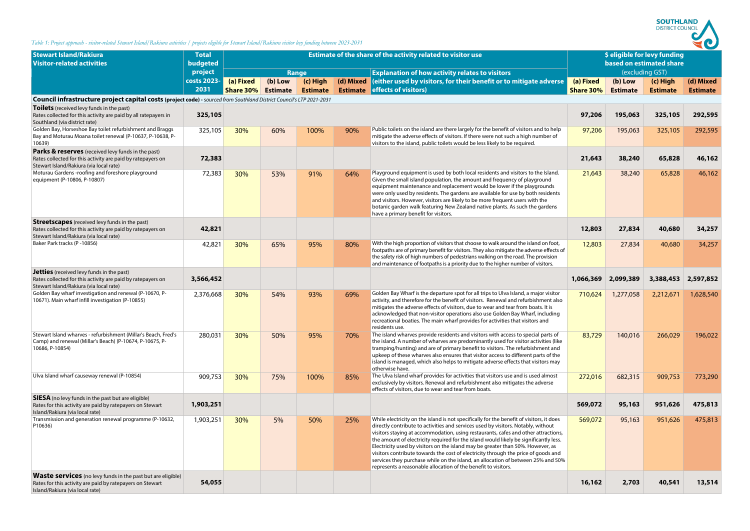<span id="page-30-0"></span>*Table 1: Project approach - visitor-related Stewart Island/Rakiura activities / projects eligible for Stewart Island/Rakiura visitor levy funding between 2023-2031*

| <b>Stewart Island/Rakiura</b><br><b>Visitor-related activities</b>                                                                                                 | <b>Total</b><br>budgeted | Estimate of the share of the activity related to visitor use |                 |                 |     |                                                                                                                                                                                                                                                                                                                                                                                                                                                                                                                                                                                                                                                                                             |           | \$ eligible for levy funding<br>based on estimated share |                 |                 |  |
|--------------------------------------------------------------------------------------------------------------------------------------------------------------------|--------------------------|--------------------------------------------------------------|-----------------|-----------------|-----|---------------------------------------------------------------------------------------------------------------------------------------------------------------------------------------------------------------------------------------------------------------------------------------------------------------------------------------------------------------------------------------------------------------------------------------------------------------------------------------------------------------------------------------------------------------------------------------------------------------------------------------------------------------------------------------------|-----------|----------------------------------------------------------|-----------------|-----------------|--|
|                                                                                                                                                                    | project                  |                                                              | Range           |                 |     | <b>Explanation of how activity relates to visitors</b>                                                                                                                                                                                                                                                                                                                                                                                                                                                                                                                                                                                                                                      |           | (excluding GST)                                          |                 |                 |  |
|                                                                                                                                                                    | costs 2023-              | (a) Fixed                                                    | (b) Low         | (c) High        |     | (d) Mixed (either used by visitors, for their benefit or to mitigate adverse                                                                                                                                                                                                                                                                                                                                                                                                                                                                                                                                                                                                                | (a) Fixed | $(b)$ Low                                                | (c) High        | (d) Mixed       |  |
|                                                                                                                                                                    | 2031                     | Share 30%                                                    | <b>Estimate</b> | <b>Estimate</b> |     | <b>Estimate</b> effects of visitors)                                                                                                                                                                                                                                                                                                                                                                                                                                                                                                                                                                                                                                                        | Share 30% | <b>Estimate</b>                                          | <b>Estimate</b> | <b>Estimate</b> |  |
| Council infrastructure project capital costs (project code) - sourced from Southland District Council's LTP 2021-2031                                              |                          |                                                              |                 |                 |     |                                                                                                                                                                                                                                                                                                                                                                                                                                                                                                                                                                                                                                                                                             |           |                                                          |                 |                 |  |
| <b>Toilets</b> (received levy funds in the past)<br>Rates collected for this activity are paid by all ratepayers in<br>Southland (via district rate)               | 325,105                  |                                                              |                 |                 |     |                                                                                                                                                                                                                                                                                                                                                                                                                                                                                                                                                                                                                                                                                             | 97,206    | 195,063                                                  | 325,105         | 292,595         |  |
| Golden Bay, Horseshoe Bay toilet refurbishment and Braggs<br>Bay and Moturau Moana toilet renewal (P-10637, P-10638, P-<br>10639)                                  | 325,105                  | 30%                                                          | 60%             | 100%            | 90% | Public toilets on the island are there largely for the benefit of visitors and to help<br>mitigate the adverse effects of visitors. If there were not such a high number of<br>visitors to the island, public toilets would be less likely to be required.                                                                                                                                                                                                                                                                                                                                                                                                                                  | 97,206    | 195,063                                                  | 325,105         | 292,595         |  |
| Parks & reserves (received levy funds in the past)<br>Rates collected for this activity are paid by ratepayers on<br>Stewart Island/Rakiura (via local rate)       | 72,383                   |                                                              |                 |                 |     |                                                                                                                                                                                                                                                                                                                                                                                                                                                                                                                                                                                                                                                                                             | 21,643    | 38,240                                                   | 65,828          | 46,162          |  |
| Moturau Gardens-roofing and foreshore playground<br>equipment (P-10806, P-10807)                                                                                   | 72,383                   | 30%                                                          | 53%             | 91%             | 64% | Playground equipment is used by both local residents and visitors to the Island.<br>Given the small island population, the amount and frequency of playground<br>equipment maintenance and replacement would be lower if the playgrounds<br>were only used by residents. The gardens are available for use by both residents<br>and visitors. However, visitors are likely to be more frequent users with the<br>botanic garden walk featuring New Zealand native plants. As such the gardens<br>have a primary benefit for visitors.                                                                                                                                                       | 21,643    | 38,240                                                   | 65,828          | 46,162          |  |
| <b>Streetscapes</b> (received levy funds in the past)<br>Rates collected for this activity are paid by ratepayers on<br>Stewart Island/Rakiura (via local rate)    | 42,821                   |                                                              |                 |                 |     |                                                                                                                                                                                                                                                                                                                                                                                                                                                                                                                                                                                                                                                                                             | 12,803    | 27,834                                                   | 40,680          | 34,257          |  |
| Baker Park tracks (P-10856)                                                                                                                                        | 42,821                   | 30%                                                          | 65%             | 95%             | 80% | With the high proportion of visitors that choose to walk around the island on foot,<br>footpaths are of primary benefit for visitors. They also mitigate the adverse effects of<br>the safety risk of high numbers of pedestrians walking on the road. The provision<br>and maintenance of footpaths is a priority due to the higher number of visitors.                                                                                                                                                                                                                                                                                                                                    | 12,803    | 27,834                                                   | 40,680          | 34,257          |  |
| Jetties (received levy funds in the past)<br>Rates collected for this activity are paid by ratepayers on<br>Stewart Island/Rakiura (via local rate)                | 3,566,452                |                                                              |                 |                 |     |                                                                                                                                                                                                                                                                                                                                                                                                                                                                                                                                                                                                                                                                                             | 1,066,369 | 2,099,389                                                | 3,388,453       | 2,597,852       |  |
| Golden Bay wharf investigation and renewal (P-10670, P-<br>10671). Main wharf infill investigation (P-10855)                                                       | 2,376,668                | 30%                                                          | 54%             | 93%             | 69% | Golden Bay Wharf is the departure spot for all trips to Ulva Island, a major visitor<br>activity, and therefore for the benefit of visitors. Renewal and refurbishment also<br>mitigates the adverse effects of visitors, due to wear and tear from boats. It is<br>acknowledged that non-visitor operations also use Golden Bay Wharf, including<br>recreational boaties. The main wharf provides for activities that visitors and<br>residents use.                                                                                                                                                                                                                                       | 710,624   | 1,277,058                                                | 2,212,671       | 1,628,540       |  |
| Stewart Island wharves - refurbishment (Millar's Beach, Fred's<br>Camp) and renewal (Millar's Beach) (P-10674, P-10675, P-<br>10686, P-10854)                      | 280,031                  | 30%                                                          | 50%             | 95%             | 70% | The island wharves provide residents and visitors with access to special parts of<br>the island. A number of wharves are predominantly used for visitor activities (like<br>tramping/hunting) and are of primary benefit to visitors. The refurbishment and<br>upkeep of these wharves also ensures that visitor access to different parts of the<br>island is managed, which also helps to mitigate adverse effects that visitors may<br>otherwise have.                                                                                                                                                                                                                                   | 83,729    | 140,016                                                  | 266,029         | 196,022         |  |
| Ulva Island wharf causeway renewal (P-10854)                                                                                                                       | 909,753                  | 30%                                                          | 75%             | 100%            | 85% | The Ulva Island wharf provides for activities that visitors use and is used almost<br>exclusively by visitors. Renewal and refurbishment also mitigates the adverse<br>effects of visitors, due to wear and tear from boats.                                                                                                                                                                                                                                                                                                                                                                                                                                                                | 272,016   | 682,315                                                  | 909,753         | 773,290         |  |
| <b>SIESA</b> (no levy funds in the past but are eligible)<br>Rates for this activity are paid by ratepayers on Stewart<br>Island/Rakiura (via local rate)          | 1,903,251                |                                                              |                 |                 |     |                                                                                                                                                                                                                                                                                                                                                                                                                                                                                                                                                                                                                                                                                             | 569,072   | 95,163                                                   | 951,626         | 475,813         |  |
| Transmission and generation renewal programme (P-10632,<br>P10636)                                                                                                 | 1,903,251                | 30%                                                          | 5%              | 50%             | 25% | While electricity on the island is not specifically for the benefit of visitors, it does<br>directly contribute to activities and services used by visitors. Notably, without<br>visitors staying at accommodation, using restaurants, cafes and other attractions,<br>the amount of electricity required for the island would likely be significantly less.<br>Electricity used by visitors on the island may be greater than 50%. However, as<br>visitors contribute towards the cost of electricity through the price of goods and<br>services they purchase while on the island, an allocation of between 25% and 50%<br>represents a reasonable allocation of the benefit to visitors. | 569,072   | 95,163                                                   | 951,626         | 475,813         |  |
| <b>Waste services</b> (no levy funds in the past but are eligible)<br>Rates for this activity are paid by ratepayers on Stewart<br>Island/Rakiura (via local rate) | 54,055                   |                                                              |                 |                 |     |                                                                                                                                                                                                                                                                                                                                                                                                                                                                                                                                                                                                                                                                                             | 16,162    | 2,703                                                    | 40,541          | 13,514          |  |

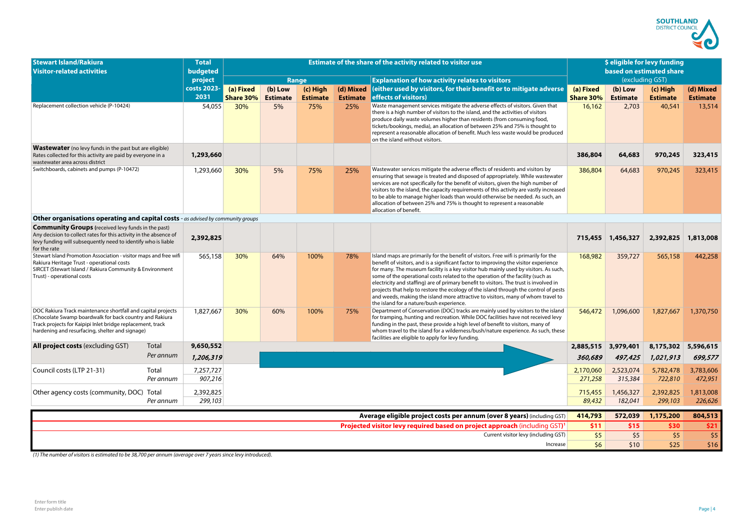

| <b>Stewart Island/Rakiura</b>                                                                                                                                                                                                            | <b>Total</b>           |               |                 |                 |                 | Estimate of the share of the activity related to visitor use                                                                                                                                                                                                                                                                                                                                                                                                                                                                                                                                                                                                               |                          |                      | \$ eligible for levy funding |                      |  |
|------------------------------------------------------------------------------------------------------------------------------------------------------------------------------------------------------------------------------------------|------------------------|---------------|-----------------|-----------------|-----------------|----------------------------------------------------------------------------------------------------------------------------------------------------------------------------------------------------------------------------------------------------------------------------------------------------------------------------------------------------------------------------------------------------------------------------------------------------------------------------------------------------------------------------------------------------------------------------------------------------------------------------------------------------------------------------|--------------------------|----------------------|------------------------------|----------------------|--|
| <b>Visitor-related activities</b>                                                                                                                                                                                                        | budgeted               |               |                 |                 |                 |                                                                                                                                                                                                                                                                                                                                                                                                                                                                                                                                                                                                                                                                            | based on estimated share |                      |                              |                      |  |
|                                                                                                                                                                                                                                          | project                |               | Range           |                 |                 | <b>Explanation of how activity relates to visitors</b>                                                                                                                                                                                                                                                                                                                                                                                                                                                                                                                                                                                                                     |                          |                      | (excluding GST)              |                      |  |
|                                                                                                                                                                                                                                          | costs 2023-            | (a) Fixed     | (b) Low         | (c) High        | (d) Mixed       | (either used by visitors, for their benefit or to mitigate adverse                                                                                                                                                                                                                                                                                                                                                                                                                                                                                                                                                                                                         | (a) Fixed                | (b) Low              | (c) High                     | (d) Mixed            |  |
|                                                                                                                                                                                                                                          | 2031                   | Share 30%     | <b>Estimate</b> | <b>Estimate</b> | <b>Estimate</b> | effects of visitors)                                                                                                                                                                                                                                                                                                                                                                                                                                                                                                                                                                                                                                                       | Share 30%                | <b>Estimate</b>      | <b>Estimate</b>              | <b>Estimate</b>      |  |
| Replacement collection vehicle (P-10424)                                                                                                                                                                                                 |                        | 54,055<br>30% | 5%              | 75%             | 25%             | Waste management services mitigate the adverse effects of visitors. Given that<br>there is a high number of visitors to the island, and the activities of visitors<br>produce daily waste volumes higher than residents (from consuming food,<br>tickets/bookings, media), an allocation of between 25% and 75% is thought to<br>represent a reasonable allocation of benefit. Much less waste would be produced<br>on the island without visitors.                                                                                                                                                                                                                        | 16,162                   | 2,703                | 40,541                       | 13,514               |  |
| <b>Wastewater</b> (no levy funds in the past but are eligible)<br>Rates collected for this activity are paid by everyone in a<br>wastewater area across district                                                                         | 1,293,660              |               |                 |                 |                 |                                                                                                                                                                                                                                                                                                                                                                                                                                                                                                                                                                                                                                                                            | 386,804                  | 64,683               | 970,245                      | 323,415              |  |
| Switchboards, cabinets and pumps (P-10472)                                                                                                                                                                                               | 1,293,660              | 30%           | 5%              | 75%             | 25%             | Wastewater services mitigate the adverse effects of residents and visitors by<br>ensuring that sewage is treated and disposed of appropriately. While wastewater<br>services are not specifically for the benefit of visitors, given the high number of<br>visitors to the island, the capacity requirements of this activity are vastly increased<br>to be able to manage higher loads than would otherwise be needed. As such, an<br>allocation of between 25% and 75% is thought to represent a reasonable<br>allocation of benefit.                                                                                                                                    | 386,804                  | 64,683               | 970,245                      | 323,415              |  |
| Other organisations operating and capital costs - as advised by community groups                                                                                                                                                         |                        |               |                 |                 |                 |                                                                                                                                                                                                                                                                                                                                                                                                                                                                                                                                                                                                                                                                            |                          |                      |                              |                      |  |
| <b>Community Groups</b> (received levy funds in the past)<br>Any decision to collect rates for this activity in the absence of<br>levy funding will subsequently need to identify who is liable<br>for the rate                          | 2,392,825              |               |                 |                 |                 |                                                                                                                                                                                                                                                                                                                                                                                                                                                                                                                                                                                                                                                                            | 715,455                  | 1,456,327            | 2,392,825                    | 1,813,008            |  |
| Stewart Island Promotion Association - visitor maps and free wifi<br>Rakiura Heritage Trust - operational costs<br>SIRCET (Stewart Island / Rakiura Community & Environment<br>Trust) - operational costs                                | 565,158                | 30%           | 64%             | 100%            | 78%             | Island maps are primarily for the benefit of visitors. Free wifi is primarily for the<br>benefit of visitors, and is a significant factor to improving the visitor experience<br>for many. The museum facility is a key visitor hub mainly used by visitors. As such,<br>some of the operational costs related to the operation of the facility (such as<br>electricity and staffing) are of primary benefit to visitors. The trust is involved in<br>projects that help to restore the ecology of the island through the control of pests<br>and weeds, making the island more attractive to visitors, many of whom travel to<br>the island for a nature/bush experience. | 168,982                  | 359,727              | 565,158                      | 442,258              |  |
| DOC Rakiura Track maintenance shortfall and capital projects<br>(Chocolate Swamp boardwalk for back country and Rakiura<br>Track projects for Kaipipi Inlet bridge replacement, track<br>hardening and resurfacing, shelter and signage) | 1,827,667              | 30%           | 60%             | 100%            | 75%             | Department of Conservation (DOC) tracks are mainly used by visitors to the island<br>for tramping, hunting and recreation. While DOC facilities have not received levy<br>funding in the past, these provide a high level of benefit to visitors, many of<br>whom travel to the island for a wilderness/bush/nature experience. As such, these<br>facilities are eligible to apply for levy funding.                                                                                                                                                                                                                                                                       | 546,472                  | 1,096,600            | 1,827,667                    | 1,370,750            |  |
| All project costs (excluding GST)<br>Total                                                                                                                                                                                               | 9,650,552              |               |                 |                 |                 |                                                                                                                                                                                                                                                                                                                                                                                                                                                                                                                                                                                                                                                                            | 2,885,515                | 3,979,401            | 8,175,302                    | 5,596,615            |  |
|                                                                                                                                                                                                                                          | Per annum<br>1,206,319 |               |                 |                 |                 |                                                                                                                                                                                                                                                                                                                                                                                                                                                                                                                                                                                                                                                                            | 360,689                  | 497,425              | 1,021,913                    | 699,577              |  |
| Total<br>Council costs (LTP 21-31)                                                                                                                                                                                                       | 7,257,727              |               |                 |                 |                 |                                                                                                                                                                                                                                                                                                                                                                                                                                                                                                                                                                                                                                                                            | 2,170,060                | 2,523,074            | 5,782,478                    | 3,783,606            |  |
|                                                                                                                                                                                                                                          | Per annum              | 907,216       |                 |                 |                 |                                                                                                                                                                                                                                                                                                                                                                                                                                                                                                                                                                                                                                                                            | 271,258                  | 315,384              | 722,810                      | 472,951              |  |
|                                                                                                                                                                                                                                          |                        |               |                 |                 |                 |                                                                                                                                                                                                                                                                                                                                                                                                                                                                                                                                                                                                                                                                            |                          |                      |                              |                      |  |
| Other agency costs (community, DOC)<br>Total                                                                                                                                                                                             | 2,392,825<br>Per annum | 299,103       |                 |                 |                 |                                                                                                                                                                                                                                                                                                                                                                                                                                                                                                                                                                                                                                                                            | 715,455<br>89,432        | 1,456,327<br>182,041 | 2,392,825<br>299,103         | 1,813,008<br>226,626 |  |
|                                                                                                                                                                                                                                          |                        |               |                 |                 |                 | Average eligible project costs per annum (over 8 years) (including GST)                                                                                                                                                                                                                                                                                                                                                                                                                                                                                                                                                                                                    | 414,793                  | 572,039              | 1,175,200                    | 804,513              |  |
|                                                                                                                                                                                                                                          |                        |               |                 |                 |                 | Projected visitor levy required based on project approach (including GST) <sup>1</sup>                                                                                                                                                                                                                                                                                                                                                                                                                                                                                                                                                                                     | \$11                     | \$15                 | \$30                         | \$21                 |  |
|                                                                                                                                                                                                                                          |                        |               |                 |                 |                 | Current visitor levy (including GST)                                                                                                                                                                                                                                                                                                                                                                                                                                                                                                                                                                                                                                       | \$5                      | \$5                  | \$5                          | \$5                  |  |
|                                                                                                                                                                                                                                          |                        |               |                 |                 |                 | Increase                                                                                                                                                                                                                                                                                                                                                                                                                                                                                                                                                                                                                                                                   | \$6                      | \$10                 | \$25                         | \$16                 |  |

*(1) The number of visitors is estimated to be 38,700 per annum (average over 7 years since levy introduced).*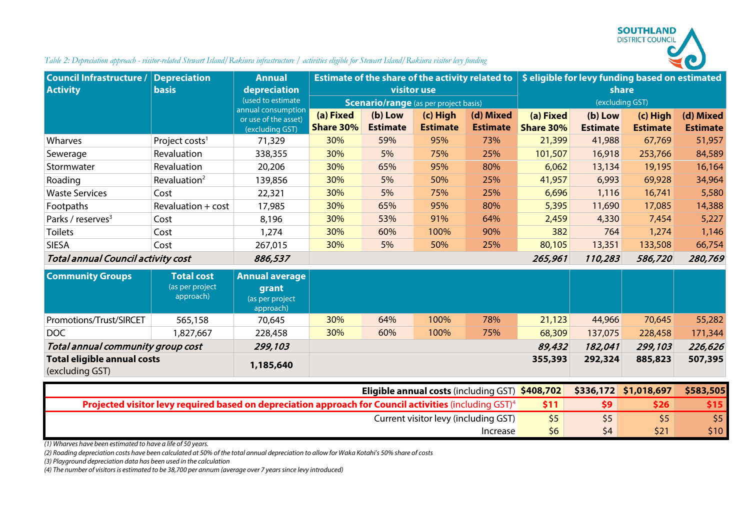

| <b>Council Infrastructure /</b><br><b>Activity</b>                                                                 | Depreciation<br><b>basis</b>                      | <b>Annual</b><br>depreciation                                                      | <b>Estimate of the share of the activity related to</b><br>visitor use |                            |                                                                             |                                                        | \$ eligible for levy funding based on estimated<br>share |                            |                                                |                              |
|--------------------------------------------------------------------------------------------------------------------|---------------------------------------------------|------------------------------------------------------------------------------------|------------------------------------------------------------------------|----------------------------|-----------------------------------------------------------------------------|--------------------------------------------------------|----------------------------------------------------------|----------------------------|------------------------------------------------|------------------------------|
|                                                                                                                    |                                                   | (used to estimate<br>annual consumption<br>or use of the asset)<br>(excluding GST) | (a) Fixed<br><b>Share 30%</b>                                          | (b) Low<br><b>Estimate</b> | <b>Scenario/range</b> (as per project basis)<br>(c) High<br><b>Estimate</b> | (d) Mixed<br><b>Estimate</b>                           | (a) Fixed<br>Share 30%                                   | (b) Low<br><b>Estimate</b> | (excluding GST)<br>(c) High<br><b>Estimate</b> | (d) Mixed<br><b>Estimate</b> |
| Wharves                                                                                                            | Project costs <sup>1</sup>                        | 71,329                                                                             | 30%                                                                    | 59%                        | 95%                                                                         | 73%                                                    | 21,399                                                   | 41,988                     | 67,769                                         | 51,957                       |
| Sewerage                                                                                                           | Revaluation                                       | 338,355                                                                            | 30%                                                                    | 5%                         | 75%                                                                         | 25%                                                    | 101,507                                                  | 16,918                     | 253,766                                        | 84,589                       |
| Stormwater                                                                                                         | Revaluation                                       | 20,206                                                                             | 30%                                                                    | 65%                        | 95%                                                                         | 80%                                                    | 6,062                                                    | 13,134                     | 19,195                                         | 16,164                       |
| Roading                                                                                                            | Revaluation <sup>2</sup>                          | 139,856                                                                            | 30%                                                                    | 5%                         | 50%                                                                         | 25%                                                    | 41,957                                                   | 6,993                      | 69,928                                         | 34,964                       |
| <b>Waste Services</b>                                                                                              | Cost                                              | 22,321                                                                             | 30%                                                                    | 5%                         | 75%                                                                         | 25%                                                    | 6,696                                                    | 1,116                      | 16,741                                         | 5,580                        |
| Footpaths                                                                                                          | Revaluation + cost                                | 17,985                                                                             | 30%                                                                    | 65%                        | 95%                                                                         | 80%                                                    | 5,395                                                    | 11,690                     | 17,085                                         | 14,388                       |
| Parks / reserves <sup>3</sup>                                                                                      | Cost                                              | 8,196                                                                              | 30%                                                                    | 53%                        | 91%                                                                         | 64%                                                    | 2,459                                                    | 4,330                      | 7,454                                          | 5,227                        |
| <b>Toilets</b>                                                                                                     | Cost                                              | 1,274                                                                              | 30%                                                                    | 60%                        | 100%                                                                        | 90%                                                    | 382                                                      | 764                        | 1,274                                          | 1,146                        |
| <b>SIESA</b>                                                                                                       | Cost                                              | 267,015                                                                            | 30%                                                                    | 5%                         | 50%                                                                         | 25%                                                    | 80,105                                                   | 13,351                     | 133,508                                        | 66,754                       |
| <b>Total annual Council activity cost</b>                                                                          |                                                   | 886,537                                                                            |                                                                        |                            |                                                                             |                                                        | 265,961                                                  | 110,283                    | 586,720                                        | 280,769                      |
| <b>Community Groups</b>                                                                                            | <b>Total cost</b><br>(as per project<br>approach) | <b>Annual average</b><br>grant<br>(as per project<br>approach)                     |                                                                        |                            |                                                                             |                                                        |                                                          |                            |                                                |                              |
| Promotions/Trust/SIRCET                                                                                            | 565,158                                           | 70,645                                                                             | 30%                                                                    | 64%                        | 100%                                                                        | 78%                                                    | 21,123                                                   | 44,966                     | 70,645                                         | 55,282                       |
| <b>DOC</b>                                                                                                         | 1,827,667                                         | 228,458                                                                            | 30%                                                                    | 60%                        | 100%                                                                        | 75%                                                    | 68,309                                                   | 137,075                    | 228,458                                        | 171,344                      |
| Total annual community group cost                                                                                  |                                                   | 299,103                                                                            |                                                                        |                            |                                                                             |                                                        | 89,432                                                   | 182,041                    | 299,103                                        | 226,626                      |
| <b>Total eligible annual costs</b><br>(excluding GST)                                                              |                                                   | 1,185,640                                                                          |                                                                        |                            |                                                                             |                                                        | 355,393                                                  | 292,324                    | 885,823                                        | 507,395                      |
|                                                                                                                    |                                                   |                                                                                    |                                                                        |                            |                                                                             | <b>Eligible annual costs (including GST)</b> \$408,702 |                                                          | \$336,172                  | \$1,018,697                                    | \$583,505                    |
| Projected visitor levy required based on depreciation approach for Council activities (including GST) <sup>4</sup> |                                                   |                                                                                    |                                                                        |                            |                                                                             |                                                        | \$11                                                     | \$9                        | \$26                                           | \$15                         |
|                                                                                                                    |                                                   |                                                                                    |                                                                        |                            |                                                                             | Current visitor levy (including GST)                   | \$5                                                      | \$5                        | \$5                                            | \$5                          |
|                                                                                                                    |                                                   |                                                                                    |                                                                        |                            |                                                                             | Increase                                               | \$6                                                      | \$4                        | \$21                                           | \$10                         |

#### *Table 2: Depreciation approach - visitor-related Stewart Island/Rakiura infrastructure / activities eligible for Stewart Island/Rakiura visitor levy funding*

<span id="page-32-0"></span>*(1) Wharves have been estimated to have a life of 50 years.*

*(2) Roading depreciation costs have been calculated at 50% of the total annual depreciation to allow for Waka Kotahi's 50% share of costs*

*(3) Playground depreciation data has been used in the calculation*

*(4) The number of visitors is estimated to be 38,700 per annum (average over 7 years since levy introduced)*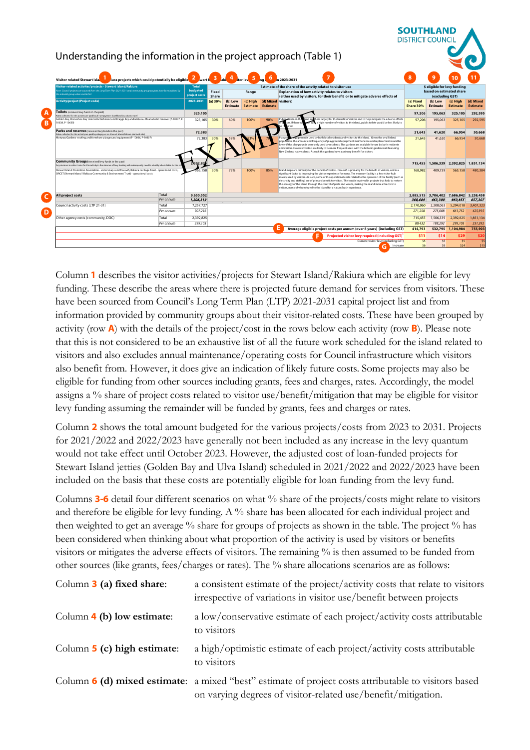<span id="page-33-0"></span>

Column **1** describes the visitor activities/projects for Stewart Island/Rakiura which are eligible for levy funding. These describe the areas where there is projected future demand for services from visitors. These have been sourced from Council's Long Term Plan (LTP) 2021-2031 capital project list and from information provided by community groups about their visitor-related costs. These have been grouped by activity (row **A**) with the details of the project/cost in the rows below each activity (row **B**). Please note that this is not considered to be an exhaustive list of all the future work scheduled for the island related to visitors and also excludes annual maintenance/operating costs for Council infrastructure which visitors also benefit from. However, it does give an indication of likely future costs. Some projects may also be eligible for funding from other sources including grants, fees and charges, rates. Accordingly, the model assigns a % share of project costs related to visitor use/benefit/mitigation that may be eligible for visitor levy funding assuming the remainder will be funded by grants, fees and charges or rates.

Column **2** shows the total amount budgeted for the various projects/costs from 2023 to 2031. Projects for 2021/2022 and 2022/2023 have generally not been included as any increase in the levy quantum would not take effect until October 2023. However, the adjusted cost of loan-funded projects for Stewart Island jetties (Golden Bay and Ulva Island) scheduled in 2021/2022 and 2022/2023 have been included on the basis that these costs are potentially eligible for loan funding from the levy fund.

Columns **3-6** detail four different scenarios on what % share of the projects/costs might relate to visitors and therefore be eligible for levy funding. A % share has been allocated for each individual project and then weighted to get an average % share for groups of projects as shown in the table. The project % has been considered when thinking about what proportion of the activity is used by visitors or benefits visitors or mitigates the adverse effects of visitors. The remaining % is then assumed to be funded from other sources (like grants, fees/charges or rates). The % share allocations scenarios are as follows:

| Column 3 (a) fixed share:                         | a consistent estimate of the project/activity costs that relate to visitors<br>irrespective of variations in visitor use/benefit between projects                     |
|---------------------------------------------------|-----------------------------------------------------------------------------------------------------------------------------------------------------------------------|
| Column $4$ (b) low estimate:                      | a low/conservative estimate of each project/activity costs attributable<br>to visitors                                                                                |
| Column $\overline{\mathbf{5}}$ (c) high estimate: | a high/optimistic estimate of each project/activity costs attributable<br>to visitors                                                                                 |
|                                                   | Column 6 (d) mixed estimate: a mixed "best" estimate of project costs attributable to visitors based<br>on varying degrees of visitor-related use/benefit/mitigation. |